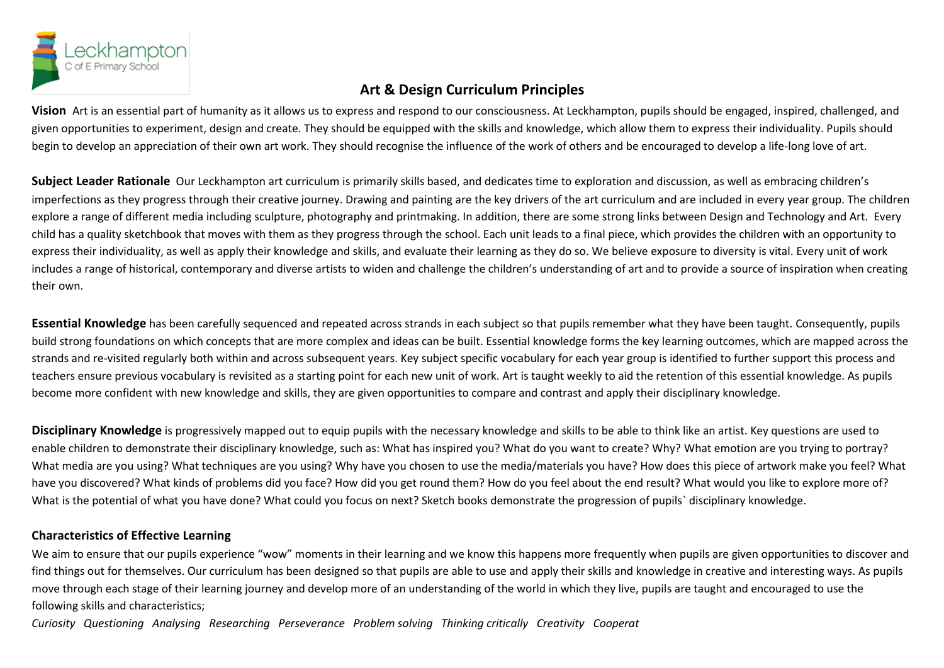

## **Art & Design Curriculum Principles**

**Vision** Art is an essential part of humanity as it allows us to express and respond to our consciousness. At Leckhampton, pupils should be engaged, inspired, challenged, and given opportunities to experiment, design and create. They should be equipped with the skills and knowledge, which allow them to express their individuality. Pupils should begin to develop an appreciation of their own art work. They should recognise the influence of the work of others and be encouraged to develop a life-long love of art.

**Subject Leader Rationale** Our Leckhampton art curriculum is primarily skills based, and dedicates time to exploration and discussion, as well as embracing children's imperfections as they progress through their creative journey. Drawing and painting are the key drivers of the art curriculum and are included in every year group. The children explore a range of different media including sculpture, photography and printmaking. In addition, there are some strong links between Design and Technology and Art. Every child has a quality sketchbook that moves with them as they progress through the school. Each unit leads to a final piece, which provides the children with an opportunity to express their individuality, as well as apply their knowledge and skills, and evaluate their learning as they do so. We believe exposure to diversity is vital. Every unit of work includes a range of historical, contemporary and diverse artists to widen and challenge the children's understanding of art and to provide a source of inspiration when creating their own.

**Essential Knowledge** has been carefully sequenced and repeated across strands in each subject so that pupils remember what they have been taught. Consequently, pupils build strong foundations on which concepts that are more complex and ideas can be built. Essential knowledge forms the key learning outcomes, which are mapped across the strands and re-visited regularly both within and across subsequent years. Key subject specific vocabulary for each year group is identified to further support this process and teachers ensure previous vocabulary is revisited as a starting point for each new unit of work. Art is taught weekly to aid the retention of this essential knowledge. As pupils become more confident with new knowledge and skills, they are given opportunities to compare and contrast and apply their disciplinary knowledge.

**Disciplinary Knowledge** is progressively mapped out to equip pupils with the necessary knowledge and skills to be able to think like an artist. Key questions are used to enable children to demonstrate their disciplinary knowledge, such as: What has inspired you? What do you want to create? Why? What emotion are you trying to portray? What media are you using? What techniques are you using? Why have you chosen to use the media/materials you have? How does this piece of artwork make you feel? What have you discovered? What kinds of problems did you face? How did you get round them? How do you feel about the end result? What would you like to explore more of? What is the potential of what you have done? What could you focus on next? Sketch books demonstrate the progression of pupils` disciplinary knowledge.

## **Characteristics of Effective Learning**

We aim to ensure that our pupils experience "wow" moments in their learning and we know this happens more frequently when pupils are given opportunities to discover and find things out for themselves. Our curriculum has been designed so that pupils are able to use and apply their skills and knowledge in creative and interesting ways. As pupils move through each stage of their learning journey and develop more of an understanding of the world in which they live, pupils are taught and encouraged to use the following skills and characteristics;

*Curiosity Questioning Analysing Researching Perseverance Problem solving Thinking critically Creativity Cooperat*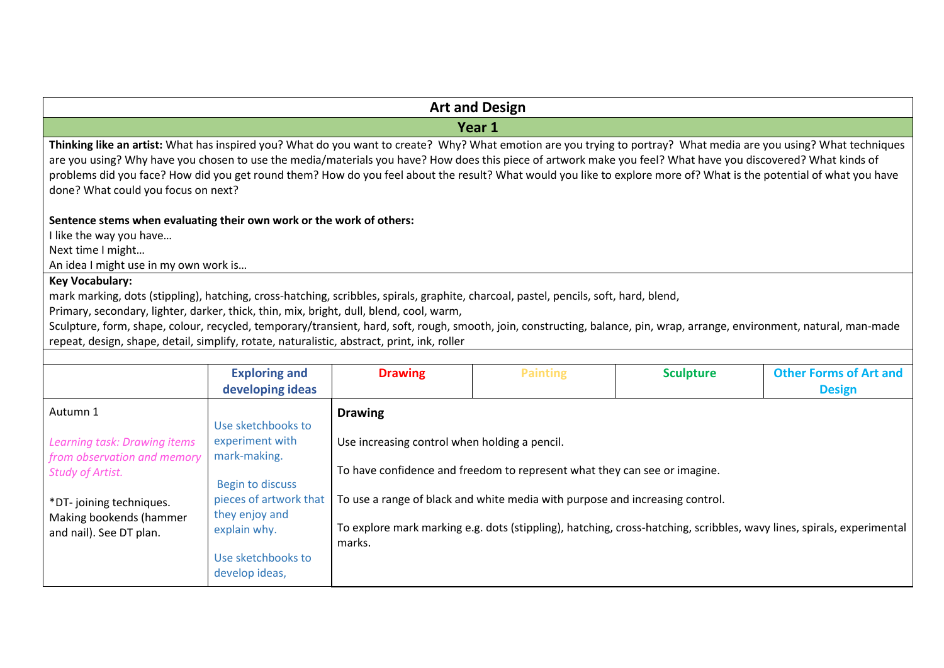| <b>Art and Design</b>                                                                                                                                                                                                                                                                                                                                                                                                                                                                                                                             |                                                                                                                                                                                      |                                                                           |                                                                                                                                                           |                  |                                                                                                                       |
|---------------------------------------------------------------------------------------------------------------------------------------------------------------------------------------------------------------------------------------------------------------------------------------------------------------------------------------------------------------------------------------------------------------------------------------------------------------------------------------------------------------------------------------------------|--------------------------------------------------------------------------------------------------------------------------------------------------------------------------------------|---------------------------------------------------------------------------|-----------------------------------------------------------------------------------------------------------------------------------------------------------|------------------|-----------------------------------------------------------------------------------------------------------------------|
|                                                                                                                                                                                                                                                                                                                                                                                                                                                                                                                                                   |                                                                                                                                                                                      |                                                                           | Year 1                                                                                                                                                    |                  |                                                                                                                       |
| Thinking like an artist: What has inspired you? What do you want to create? Why? What emotion are you trying to portray? What media are you using? What techniques<br>are you using? Why have you chosen to use the media/materials you have? How does this piece of artwork make you feel? What have you discovered? What kinds of<br>problems did you face? How did you get round them? How do you feel about the result? What would you like to explore more of? What is the potential of what you have<br>done? What could you focus on next? |                                                                                                                                                                                      |                                                                           |                                                                                                                                                           |                  |                                                                                                                       |
| Sentence stems when evaluating their own work or the work of others:<br>like the way you have<br>Next time I might<br>An idea I might use in my own work is                                                                                                                                                                                                                                                                                                                                                                                       |                                                                                                                                                                                      |                                                                           |                                                                                                                                                           |                  |                                                                                                                       |
| <b>Key Vocabulary:</b><br>mark marking, dots (stippling), hatching, cross-hatching, scribbles, spirals, graphite, charcoal, pastel, pencils, soft, hard, blend,<br>Primary, secondary, lighter, darker, thick, thin, mix, bright, dull, blend, cool, warm,<br>Sculpture, form, shape, colour, recycled, temporary/transient, hard, soft, rough, smooth, join, constructing, balance, pin, wrap, arrange, environment, natural, man-made<br>repeat, design, shape, detail, simplify, rotate, naturalistic, abstract, print, ink, roller            |                                                                                                                                                                                      |                                                                           |                                                                                                                                                           |                  |                                                                                                                       |
|                                                                                                                                                                                                                                                                                                                                                                                                                                                                                                                                                   | <b>Exploring and</b><br>developing ideas                                                                                                                                             | <b>Drawing</b>                                                            | <b>Painting</b>                                                                                                                                           | <b>Sculpture</b> | <b>Other Forms of Art and</b><br><b>Design</b>                                                                        |
| Autumn 1<br>Learning task: Drawing items<br>from observation and memory<br><b>Study of Artist.</b><br>*DT-joining techniques.<br>Making bookends (hammer<br>and nail). See DT plan.                                                                                                                                                                                                                                                                                                                                                               | Use sketchbooks to<br>experiment with<br>mark-making.<br><b>Begin to discuss</b><br>pieces of artwork that<br>they enjoy and<br>explain why.<br>Use sketchbooks to<br>develop ideas, | <b>Drawing</b><br>Use increasing control when holding a pencil.<br>marks. | To have confidence and freedom to represent what they can see or imagine.<br>To use a range of black and white media with purpose and increasing control. |                  | To explore mark marking e.g. dots (stippling), hatching, cross-hatching, scribbles, wavy lines, spirals, experimental |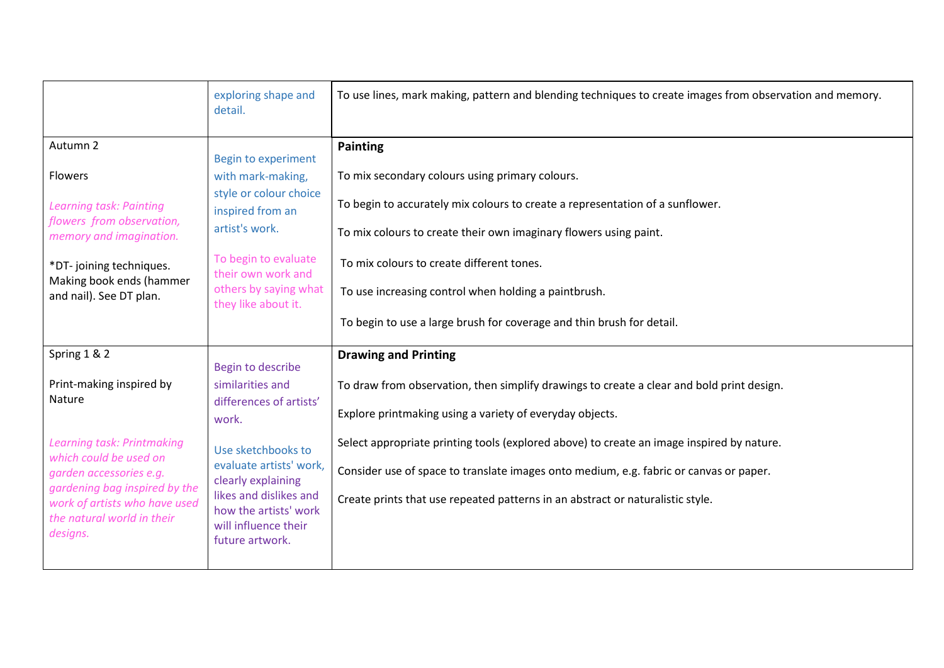|                                                                                                                                                                                                                                                   | exploring shape and<br>detail.                                                                                                                                                                                                                 | To use lines, mark making, pattern and blending techniques to create images from observation and memory.                                                                                                                                                                                                                                                                                                                                                      |
|---------------------------------------------------------------------------------------------------------------------------------------------------------------------------------------------------------------------------------------------------|------------------------------------------------------------------------------------------------------------------------------------------------------------------------------------------------------------------------------------------------|---------------------------------------------------------------------------------------------------------------------------------------------------------------------------------------------------------------------------------------------------------------------------------------------------------------------------------------------------------------------------------------------------------------------------------------------------------------|
| Autumn 2<br>Flowers<br>Learning task: Painting<br>flowers from observation,<br>memory and imagination.<br>*DT-joining techniques.<br>Making book ends (hammer<br>and nail). See DT plan.                                                          | Begin to experiment<br>with mark-making,<br>style or colour choice<br>inspired from an<br>artist's work.<br>To begin to evaluate<br>their own work and<br>others by saying what<br>they like about it.                                         | <b>Painting</b><br>To mix secondary colours using primary colours.<br>To begin to accurately mix colours to create a representation of a sunflower.<br>To mix colours to create their own imaginary flowers using paint.<br>To mix colours to create different tones.<br>To use increasing control when holding a paintbrush.<br>To begin to use a large brush for coverage and thin brush for detail.                                                        |
| Spring 1 & 2<br>Print-making inspired by<br>Nature<br>Learning task: Printmaking<br>which could be used on<br>garden accessories e.g.<br>gardening bag inspired by the<br>work of artists who have used<br>the natural world in their<br>designs. | Begin to describe<br>similarities and<br>differences of artists'<br>work.<br>Use sketchbooks to<br>evaluate artists' work,<br>clearly explaining<br>likes and dislikes and<br>how the artists' work<br>will influence their<br>future artwork. | <b>Drawing and Printing</b><br>To draw from observation, then simplify drawings to create a clear and bold print design.<br>Explore printmaking using a variety of everyday objects.<br>Select appropriate printing tools (explored above) to create an image inspired by nature.<br>Consider use of space to translate images onto medium, e.g. fabric or canvas or paper.<br>Create prints that use repeated patterns in an abstract or naturalistic style. |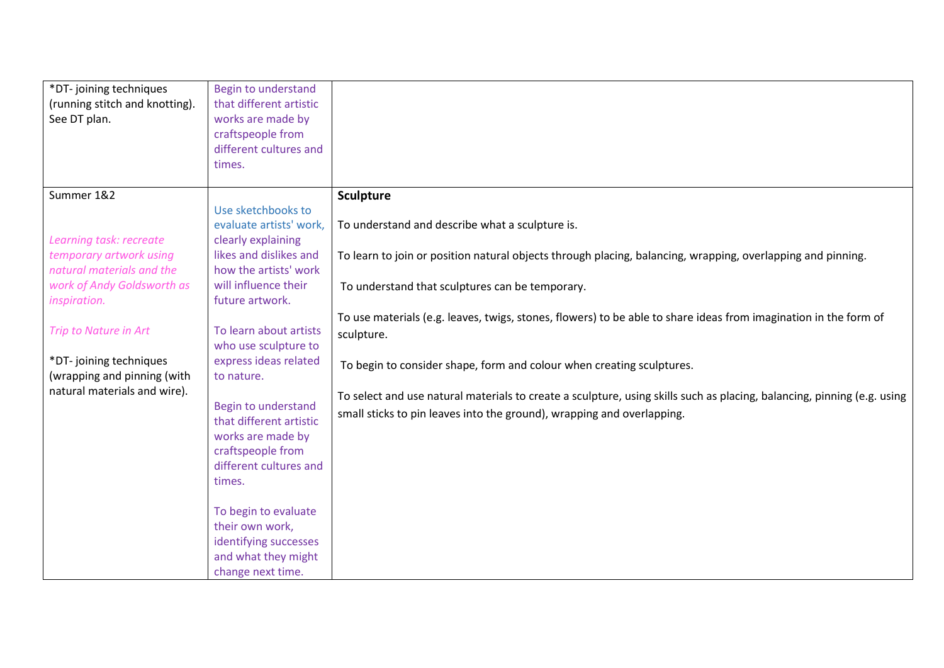| *DT-joining techniques         | Begin to understand     |                                                                                                                         |
|--------------------------------|-------------------------|-------------------------------------------------------------------------------------------------------------------------|
| (running stitch and knotting). | that different artistic |                                                                                                                         |
| See DT plan.                   | works are made by       |                                                                                                                         |
|                                | craftspeople from       |                                                                                                                         |
|                                | different cultures and  |                                                                                                                         |
|                                | times.                  |                                                                                                                         |
|                                |                         |                                                                                                                         |
| Summer 1&2                     |                         | <b>Sculpture</b>                                                                                                        |
|                                | Use sketchbooks to      |                                                                                                                         |
|                                | evaluate artists' work, | To understand and describe what a sculpture is.                                                                         |
| Learning task: recreate        | clearly explaining      |                                                                                                                         |
| temporary artwork using        | likes and dislikes and  | To learn to join or position natural objects through placing, balancing, wrapping, overlapping and pinning.             |
| natural materials and the      | how the artists' work   |                                                                                                                         |
| work of Andy Goldsworth as     | will influence their    | To understand that sculptures can be temporary.                                                                         |
| inspiration.                   | future artwork.         |                                                                                                                         |
|                                |                         | To use materials (e.g. leaves, twigs, stones, flowers) to be able to share ideas from imagination in the form of        |
| Trip to Nature in Art          | To learn about artists  | sculpture.                                                                                                              |
|                                | who use sculpture to    |                                                                                                                         |
| *DT-joining techniques         | express ideas related   | To begin to consider shape, form and colour when creating sculptures.                                                   |
| (wrapping and pinning (with    | to nature.              |                                                                                                                         |
| natural materials and wire).   |                         | To select and use natural materials to create a sculpture, using skills such as placing, balancing, pinning (e.g. using |
|                                | Begin to understand     | small sticks to pin leaves into the ground), wrapping and overlapping.                                                  |
|                                | that different artistic |                                                                                                                         |
|                                | works are made by       |                                                                                                                         |
|                                | craftspeople from       |                                                                                                                         |
|                                | different cultures and  |                                                                                                                         |
|                                | times.                  |                                                                                                                         |
|                                |                         |                                                                                                                         |
|                                | To begin to evaluate    |                                                                                                                         |
|                                | their own work,         |                                                                                                                         |
|                                | identifying successes   |                                                                                                                         |
|                                | and what they might     |                                                                                                                         |
|                                | change next time.       |                                                                                                                         |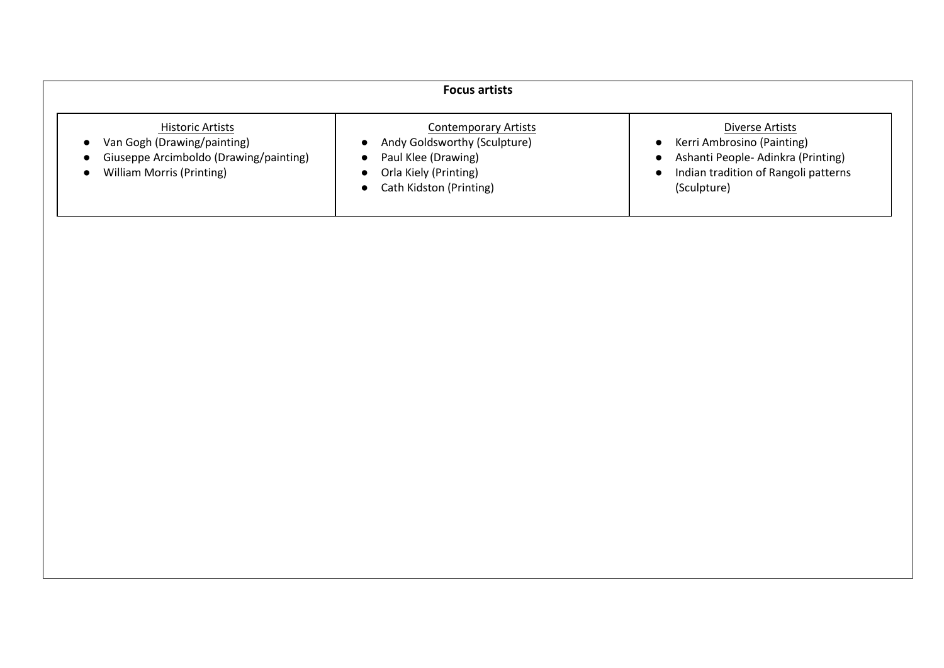| <b>Focus artists</b>                                                                                                                              |                                                                                                                                                     |                                                                                                                                           |  |  |
|---------------------------------------------------------------------------------------------------------------------------------------------------|-----------------------------------------------------------------------------------------------------------------------------------------------------|-------------------------------------------------------------------------------------------------------------------------------------------|--|--|
| <b>Historic Artists</b><br>Van Gogh (Drawing/painting)<br>$\bullet$<br>Giuseppe Arcimboldo (Drawing/painting)<br><b>William Morris (Printing)</b> | <b>Contemporary Artists</b><br>Andy Goldsworthy (Sculpture)<br>Paul Klee (Drawing)<br>Orla Kiely (Printing)<br>Cath Kidston (Printing)<br>$\bullet$ | Diverse Artists<br>Kerri Ambrosino (Painting)<br>Ashanti People-Adinkra (Printing)<br>Indian tradition of Rangoli patterns<br>(Sculpture) |  |  |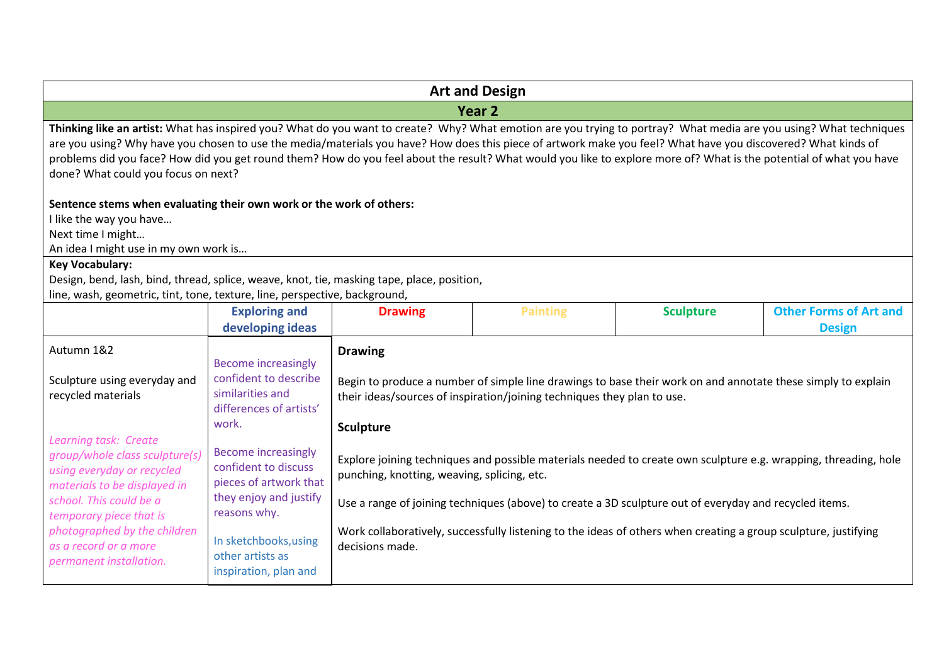|                                                                                                                                                                                                                                                                                                                                                                                                                                                                                                                                                   | <b>Art and Design</b>                                                   |                  |                                                                                                                                                                                         |                  |                                                |
|---------------------------------------------------------------------------------------------------------------------------------------------------------------------------------------------------------------------------------------------------------------------------------------------------------------------------------------------------------------------------------------------------------------------------------------------------------------------------------------------------------------------------------------------------|-------------------------------------------------------------------------|------------------|-----------------------------------------------------------------------------------------------------------------------------------------------------------------------------------------|------------------|------------------------------------------------|
|                                                                                                                                                                                                                                                                                                                                                                                                                                                                                                                                                   |                                                                         |                  | Year <sub>2</sub>                                                                                                                                                                       |                  |                                                |
| Thinking like an artist: What has inspired you? What do you want to create? Why? What emotion are you trying to portray? What media are you using? What techniques<br>are you using? Why have you chosen to use the media/materials you have? How does this piece of artwork make you feel? What have you discovered? What kinds of<br>problems did you face? How did you get round them? How do you feel about the result? What would you like to explore more of? What is the potential of what you have<br>done? What could you focus on next? |                                                                         |                  |                                                                                                                                                                                         |                  |                                                |
| Sentence stems when evaluating their own work or the work of others:<br>I like the way you have<br>Next time I might<br>An idea I might use in my own work is                                                                                                                                                                                                                                                                                                                                                                                     |                                                                         |                  |                                                                                                                                                                                         |                  |                                                |
| <b>Key Vocabulary:</b>                                                                                                                                                                                                                                                                                                                                                                                                                                                                                                                            |                                                                         |                  |                                                                                                                                                                                         |                  |                                                |
| Design, bend, lash, bind, thread, splice, weave, knot, tie, masking tape, place, position,<br>line, wash, geometric, tint, tone, texture, line, perspective, background,                                                                                                                                                                                                                                                                                                                                                                          |                                                                         |                  |                                                                                                                                                                                         |                  |                                                |
|                                                                                                                                                                                                                                                                                                                                                                                                                                                                                                                                                   | <b>Exploring and</b><br>developing ideas                                | <b>Drawing</b>   | <b>Painting</b>                                                                                                                                                                         | <b>Sculpture</b> | <b>Other Forms of Art and</b><br><b>Design</b> |
| Autumn 1&2<br>Sculpture using everyday and<br>recycled materials                                                                                                                                                                                                                                                                                                                                                                                                                                                                                  | <b>Become increasingly</b><br>confident to describe<br>similarities and | <b>Drawing</b>   | Begin to produce a number of simple line drawings to base their work on and annotate these simply to explain<br>their ideas/sources of inspiration/joining techniques they plan to use. |                  |                                                |
|                                                                                                                                                                                                                                                                                                                                                                                                                                                                                                                                                   | differences of artists'<br>work.                                        | <b>Sculpture</b> |                                                                                                                                                                                         |                  |                                                |
| Learning task: Create<br><b>Become increasingly</b><br>group/whole class sculpture(s)<br>Explore joining techniques and possible materials needed to create own sculpture e.g. wrapping, threading, hole<br>confident to discuss<br>using everyday or recycled<br>punching, knotting, weaving, splicing, etc.<br>pieces of artwork that<br>materials to be displayed in                                                                                                                                                                           |                                                                         |                  |                                                                                                                                                                                         |                  |                                                |
| school. This could be a<br>temporary piece that is                                                                                                                                                                                                                                                                                                                                                                                                                                                                                                | they enjoy and justify<br>reasons why.                                  |                  | Use a range of joining techniques (above) to create a 3D sculpture out of everyday and recycled items.                                                                                  |                  |                                                |
| photographed by the children<br>as a record or a more<br>permanent installation.                                                                                                                                                                                                                                                                                                                                                                                                                                                                  | In sketchbooks, using<br>other artists as<br>inspiration, plan and      | decisions made.  | Work collaboratively, successfully listening to the ideas of others when creating a group sculpture, justifying                                                                         |                  |                                                |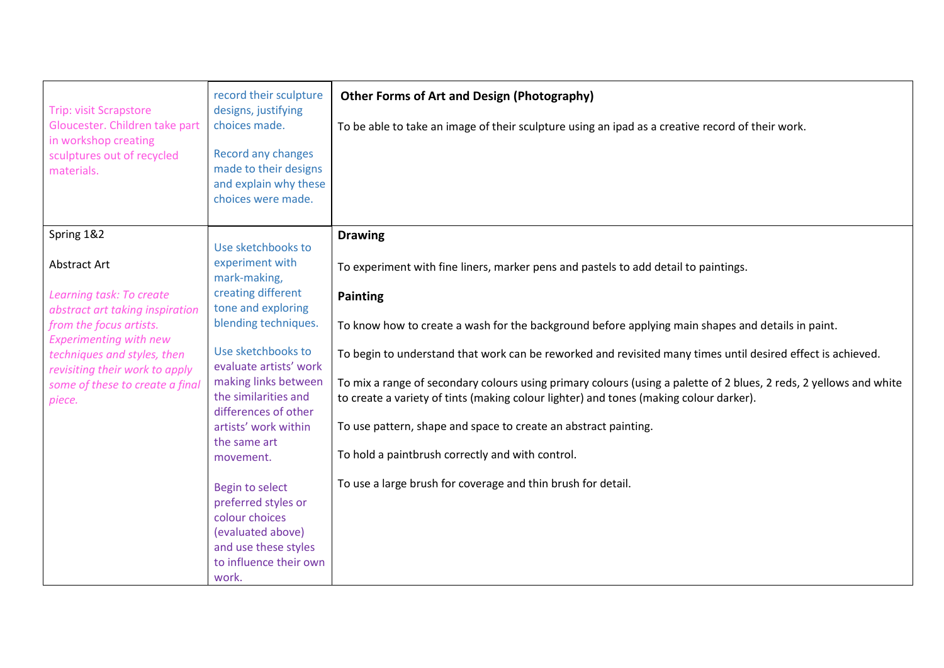| <b>Trip: visit Scrapstore</b><br>Gloucester. Children take part<br>in workshop creating<br>sculptures out of recycled<br>materials. | record their sculpture<br>designs, justifying<br>choices made.<br>Record any changes<br>made to their designs<br>and explain why these<br>choices were made. | <b>Other Forms of Art and Design (Photography)</b><br>To be able to take an image of their sculpture using an ipad as a creative record of their work.                                                       |
|-------------------------------------------------------------------------------------------------------------------------------------|--------------------------------------------------------------------------------------------------------------------------------------------------------------|--------------------------------------------------------------------------------------------------------------------------------------------------------------------------------------------------------------|
| Spring 1&2                                                                                                                          | Use sketchbooks to                                                                                                                                           | <b>Drawing</b>                                                                                                                                                                                               |
| Abstract Art                                                                                                                        | experiment with<br>mark-making,                                                                                                                              | To experiment with fine liners, marker pens and pastels to add detail to paintings.                                                                                                                          |
| Learning task: To create<br>abstract art taking inspiration                                                                         | creating different<br>tone and exploring                                                                                                                     | <b>Painting</b>                                                                                                                                                                                              |
| from the focus artists.<br><b>Experimenting with new</b>                                                                            | blending techniques.                                                                                                                                         | To know how to create a wash for the background before applying main shapes and details in paint.                                                                                                            |
| techniques and styles, then                                                                                                         | Use sketchbooks to<br>evaluate artists' work                                                                                                                 | To begin to understand that work can be reworked and revisited many times until desired effect is achieved.                                                                                                  |
| revisiting their work to apply<br>some of these to create a final<br>piece.                                                         | making links between<br>the similarities and<br>differences of other                                                                                         | To mix a range of secondary colours using primary colours (using a palette of 2 blues, 2 reds, 2 yellows and white<br>to create a variety of tints (making colour lighter) and tones (making colour darker). |
|                                                                                                                                     | artists' work within                                                                                                                                         | To use pattern, shape and space to create an abstract painting.                                                                                                                                              |
|                                                                                                                                     | the same art<br>movement.                                                                                                                                    | To hold a paintbrush correctly and with control.                                                                                                                                                             |
|                                                                                                                                     | Begin to select<br>preferred styles or                                                                                                                       | To use a large brush for coverage and thin brush for detail.                                                                                                                                                 |
|                                                                                                                                     | colour choices                                                                                                                                               |                                                                                                                                                                                                              |
|                                                                                                                                     | (evaluated above)<br>and use these styles                                                                                                                    |                                                                                                                                                                                                              |
|                                                                                                                                     | to influence their own                                                                                                                                       |                                                                                                                                                                                                              |
|                                                                                                                                     | work.                                                                                                                                                        |                                                                                                                                                                                                              |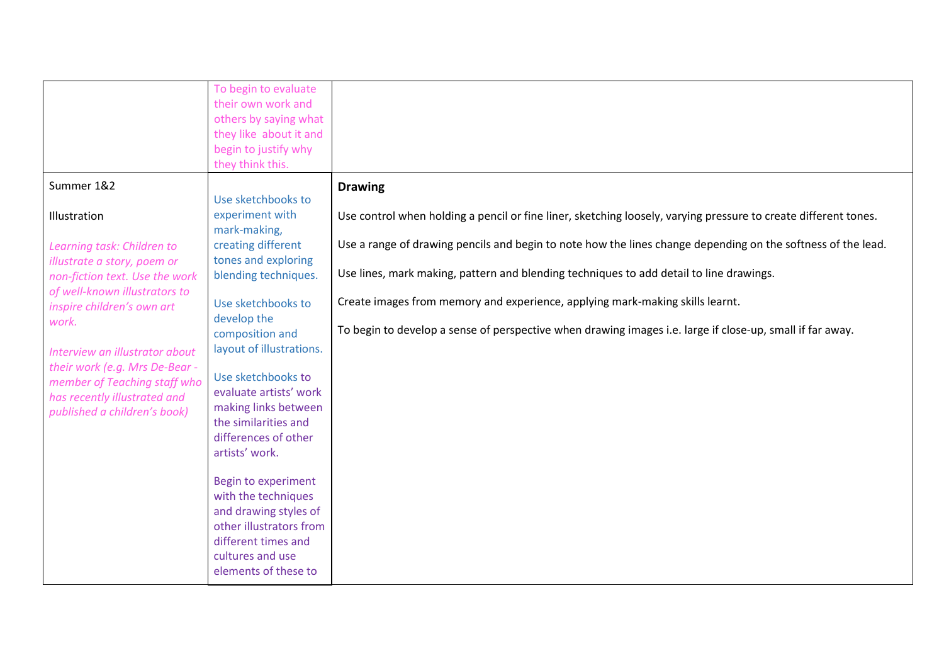|                                                                                                                                                                                                                                                                                                                                                         | To begin to evaluate<br>their own work and<br>others by saying what<br>they like about it and                                                                                                                                                                                                                                                                                                                    |                                                                                                                                                                                                                                                                                                                                                                                                                                                                                                                          |
|---------------------------------------------------------------------------------------------------------------------------------------------------------------------------------------------------------------------------------------------------------------------------------------------------------------------------------------------------------|------------------------------------------------------------------------------------------------------------------------------------------------------------------------------------------------------------------------------------------------------------------------------------------------------------------------------------------------------------------------------------------------------------------|--------------------------------------------------------------------------------------------------------------------------------------------------------------------------------------------------------------------------------------------------------------------------------------------------------------------------------------------------------------------------------------------------------------------------------------------------------------------------------------------------------------------------|
|                                                                                                                                                                                                                                                                                                                                                         | begin to justify why<br>they think this.                                                                                                                                                                                                                                                                                                                                                                         |                                                                                                                                                                                                                                                                                                                                                                                                                                                                                                                          |
| Summer 1&2                                                                                                                                                                                                                                                                                                                                              | Use sketchbooks to                                                                                                                                                                                                                                                                                                                                                                                               | <b>Drawing</b>                                                                                                                                                                                                                                                                                                                                                                                                                                                                                                           |
| Illustration<br>Learning task: Children to<br>illustrate a story, poem or<br>non-fiction text. Use the work<br>of well-known illustrators to<br>inspire children's own art<br>work.<br>Interview an illustrator about<br>their work (e.g. Mrs De-Bear -<br>member of Teaching staff who<br>has recently illustrated and<br>published a children's book) | experiment with<br>mark-making,<br>creating different<br>tones and exploring<br>blending techniques.<br>Use sketchbooks to<br>develop the<br>composition and<br>layout of illustrations.<br>Use sketchbooks to<br>evaluate artists' work<br>making links between<br>the similarities and<br>differences of other<br>artists' work.<br><b>Begin to experiment</b><br>with the techniques<br>and drawing styles of | Use control when holding a pencil or fine liner, sketching loosely, varying pressure to create different tones.<br>Use a range of drawing pencils and begin to note how the lines change depending on the softness of the lead.<br>Use lines, mark making, pattern and blending techniques to add detail to line drawings.<br>Create images from memory and experience, applying mark-making skills learnt.<br>To begin to develop a sense of perspective when drawing images i.e. large if close-up, small if far away. |
|                                                                                                                                                                                                                                                                                                                                                         | other illustrators from<br>different times and<br>cultures and use<br>elements of these to                                                                                                                                                                                                                                                                                                                       |                                                                                                                                                                                                                                                                                                                                                                                                                                                                                                                          |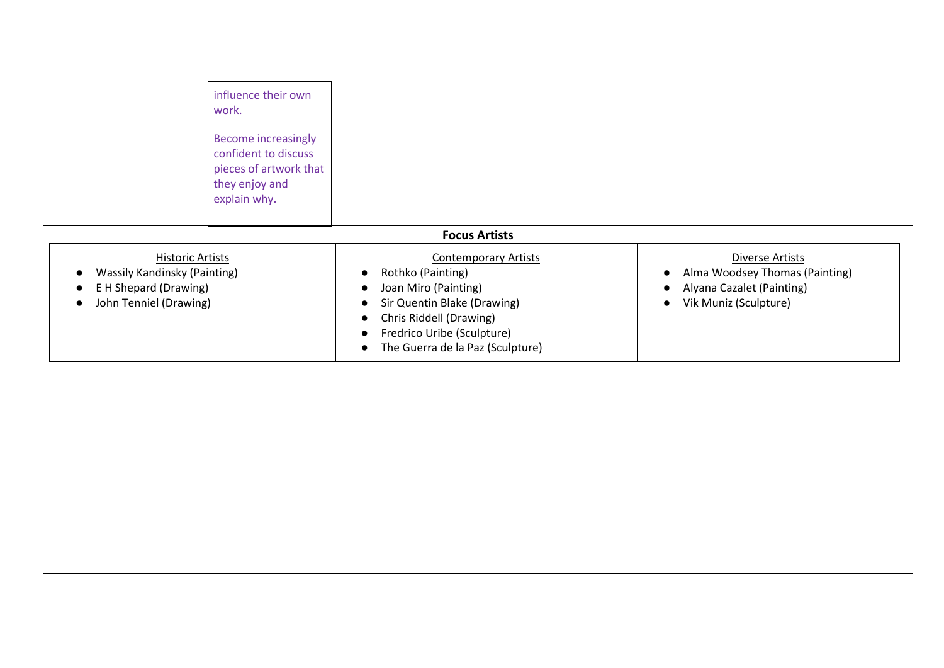|                                                                                                                   | influence their own<br>work.<br><b>Become increasingly</b><br>confident to discuss<br>pieces of artwork that<br>they enjoy and<br>explain why. |                                                                                                                                                                                                                                                               |                                                                                                                      |
|-------------------------------------------------------------------------------------------------------------------|------------------------------------------------------------------------------------------------------------------------------------------------|---------------------------------------------------------------------------------------------------------------------------------------------------------------------------------------------------------------------------------------------------------------|----------------------------------------------------------------------------------------------------------------------|
|                                                                                                                   |                                                                                                                                                | <b>Focus Artists</b>                                                                                                                                                                                                                                          |                                                                                                                      |
| <b>Historic Artists</b><br><b>Wassily Kandinsky (Painting)</b><br>E H Shepard (Drawing)<br>John Tenniel (Drawing) |                                                                                                                                                | <b>Contemporary Artists</b><br>Rothko (Painting)<br>c<br>Joan Miro (Painting)<br>$\bullet$<br>Sir Quentin Blake (Drawing)<br>$\bullet$<br>Chris Riddell (Drawing)<br>$\bullet$<br>Fredrico Uribe (Sculpture)<br>The Guerra de la Paz (Sculpture)<br>$\bullet$ | Diverse Artists<br>Alma Woodsey Thomas (Painting)<br>Alyana Cazalet (Painting)<br>Vik Muniz (Sculpture)<br>$\bullet$ |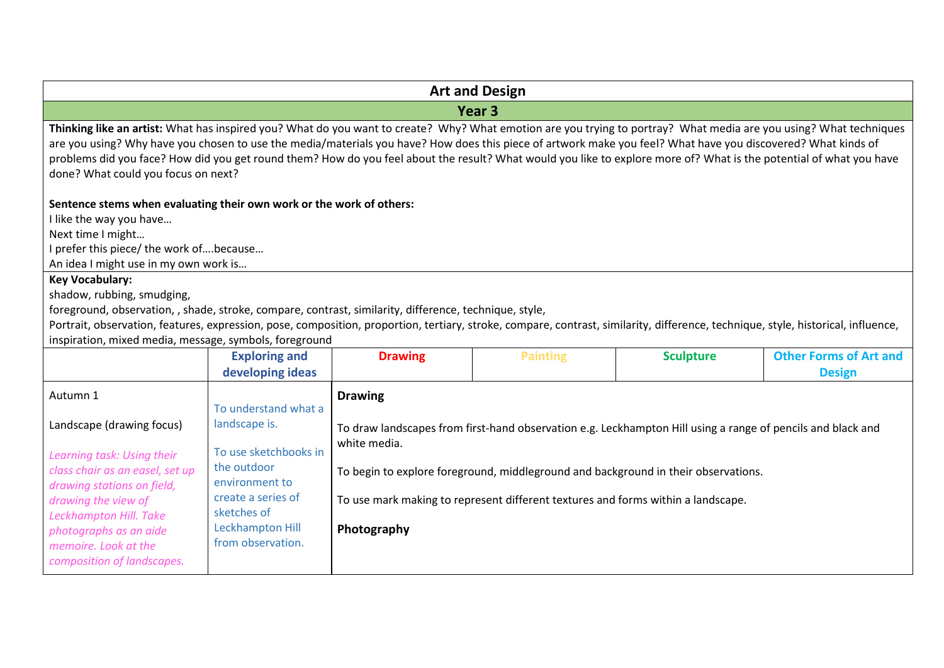|                                                                                                                                                                                                                                                                                                                                                                                                                                                                                                                                                   | <b>Art and Design</b>                    |                                                                                                                             |                                                                                  |                  |                               |
|---------------------------------------------------------------------------------------------------------------------------------------------------------------------------------------------------------------------------------------------------------------------------------------------------------------------------------------------------------------------------------------------------------------------------------------------------------------------------------------------------------------------------------------------------|------------------------------------------|-----------------------------------------------------------------------------------------------------------------------------|----------------------------------------------------------------------------------|------------------|-------------------------------|
|                                                                                                                                                                                                                                                                                                                                                                                                                                                                                                                                                   |                                          |                                                                                                                             | Year <sub>3</sub>                                                                |                  |                               |
| Thinking like an artist: What has inspired you? What do you want to create? Why? What emotion are you trying to portray? What media are you using? What techniques<br>are you using? Why have you chosen to use the media/materials you have? How does this piece of artwork make you feel? What have you discovered? What kinds of<br>problems did you face? How did you get round them? How do you feel about the result? What would you like to explore more of? What is the potential of what you have<br>done? What could you focus on next? |                                          |                                                                                                                             |                                                                                  |                  |                               |
| Sentence stems when evaluating their own work or the work of others:                                                                                                                                                                                                                                                                                                                                                                                                                                                                              |                                          |                                                                                                                             |                                                                                  |                  |                               |
| I like the way you have                                                                                                                                                                                                                                                                                                                                                                                                                                                                                                                           |                                          |                                                                                                                             |                                                                                  |                  |                               |
| Next time I might                                                                                                                                                                                                                                                                                                                                                                                                                                                                                                                                 |                                          |                                                                                                                             |                                                                                  |                  |                               |
| I prefer this piece/ the work ofbecause<br>An idea I might use in my own work is                                                                                                                                                                                                                                                                                                                                                                                                                                                                  |                                          |                                                                                                                             |                                                                                  |                  |                               |
| <b>Key Vocabulary:</b>                                                                                                                                                                                                                                                                                                                                                                                                                                                                                                                            |                                          |                                                                                                                             |                                                                                  |                  |                               |
| shadow, rubbing, smudging,                                                                                                                                                                                                                                                                                                                                                                                                                                                                                                                        |                                          |                                                                                                                             |                                                                                  |                  |                               |
| foreground, observation, , shade, stroke, compare, contrast, similarity, difference, technique, style,                                                                                                                                                                                                                                                                                                                                                                                                                                            |                                          |                                                                                                                             |                                                                                  |                  |                               |
| Portrait, observation, features, expression, pose, composition, proportion, tertiary, stroke, compare, contrast, similarity, difference, technique, style, historical, influence,                                                                                                                                                                                                                                                                                                                                                                 |                                          |                                                                                                                             |                                                                                  |                  |                               |
| inspiration, mixed media, message, symbols, foreground                                                                                                                                                                                                                                                                                                                                                                                                                                                                                            |                                          |                                                                                                                             |                                                                                  |                  | <b>Other Forms of Art and</b> |
|                                                                                                                                                                                                                                                                                                                                                                                                                                                                                                                                                   | <b>Exploring and</b><br>developing ideas | <b>Drawing</b>                                                                                                              | <b>Painting</b>                                                                  | <b>Sculpture</b> | <b>Design</b>                 |
|                                                                                                                                                                                                                                                                                                                                                                                                                                                                                                                                                   |                                          |                                                                                                                             |                                                                                  |                  |                               |
| Autumn 1                                                                                                                                                                                                                                                                                                                                                                                                                                                                                                                                          | To understand what a                     | <b>Drawing</b>                                                                                                              |                                                                                  |                  |                               |
| Landscape (drawing focus)                                                                                                                                                                                                                                                                                                                                                                                                                                                                                                                         | landscape is.                            |                                                                                                                             |                                                                                  |                  |                               |
|                                                                                                                                                                                                                                                                                                                                                                                                                                                                                                                                                   |                                          | To draw landscapes from first-hand observation e.g. Leckhampton Hill using a range of pencils and black and<br>white media. |                                                                                  |                  |                               |
| Learning task: Using their                                                                                                                                                                                                                                                                                                                                                                                                                                                                                                                        | To use sketchbooks in                    |                                                                                                                             |                                                                                  |                  |                               |
| class chair as an easel, set up                                                                                                                                                                                                                                                                                                                                                                                                                                                                                                                   | the outdoor                              | To begin to explore foreground, middleground and background in their observations.                                          |                                                                                  |                  |                               |
| drawing stations on field,                                                                                                                                                                                                                                                                                                                                                                                                                                                                                                                        | environment to<br>create a series of     |                                                                                                                             |                                                                                  |                  |                               |
| drawing the view of<br>Leckhampton Hill. Take                                                                                                                                                                                                                                                                                                                                                                                                                                                                                                     | sketches of                              |                                                                                                                             | To use mark making to represent different textures and forms within a landscape. |                  |                               |
| photographs as an aide                                                                                                                                                                                                                                                                                                                                                                                                                                                                                                                            | Leckhampton Hill                         | Photography                                                                                                                 |                                                                                  |                  |                               |
| memoire. Look at the                                                                                                                                                                                                                                                                                                                                                                                                                                                                                                                              | from observation.                        |                                                                                                                             |                                                                                  |                  |                               |
| composition of landscapes.                                                                                                                                                                                                                                                                                                                                                                                                                                                                                                                        |                                          |                                                                                                                             |                                                                                  |                  |                               |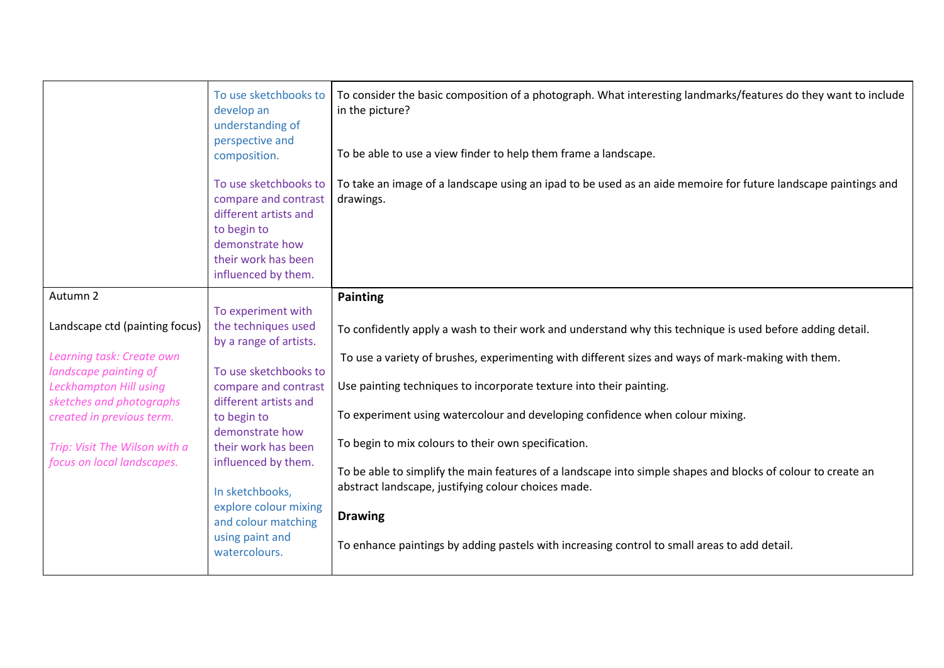|                                                             | To use sketchbooks to<br>develop an<br>understanding of<br>perspective and<br>composition.                                                             | To consider the basic composition of a photograph. What interesting landmarks/features do they want to include<br>in the picture?<br>To be able to use a view finder to help them frame a landscape. |
|-------------------------------------------------------------|--------------------------------------------------------------------------------------------------------------------------------------------------------|------------------------------------------------------------------------------------------------------------------------------------------------------------------------------------------------------|
|                                                             | To use sketchbooks to<br>compare and contrast<br>different artists and<br>to begin to<br>demonstrate how<br>their work has been<br>influenced by them. | To take an image of a landscape using an ipad to be used as an aide memoire for future landscape paintings and<br>drawings.                                                                          |
| Autumn 2                                                    |                                                                                                                                                        | <b>Painting</b>                                                                                                                                                                                      |
|                                                             | To experiment with                                                                                                                                     |                                                                                                                                                                                                      |
| Landscape ctd (painting focus)                              | the techniques used<br>by a range of artists.                                                                                                          | To confidently apply a wash to their work and understand why this technique is used before adding detail.                                                                                            |
| Learning task: Create own                                   |                                                                                                                                                        | To use a variety of brushes, experimenting with different sizes and ways of mark-making with them.                                                                                                   |
| landscape painting of                                       | To use sketchbooks to                                                                                                                                  |                                                                                                                                                                                                      |
| Leckhampton Hill using                                      | compare and contrast                                                                                                                                   | Use painting techniques to incorporate texture into their painting.                                                                                                                                  |
| sketches and photographs                                    | different artists and                                                                                                                                  |                                                                                                                                                                                                      |
| created in previous term.                                   | to begin to                                                                                                                                            | To experiment using watercolour and developing confidence when colour mixing.                                                                                                                        |
|                                                             | demonstrate how                                                                                                                                        | To begin to mix colours to their own specification.                                                                                                                                                  |
| Trip: Visit The Wilson with a<br>focus on local landscapes. | their work has been<br>influenced by them.                                                                                                             |                                                                                                                                                                                                      |
|                                                             |                                                                                                                                                        | To be able to simplify the main features of a landscape into simple shapes and blocks of colour to create an                                                                                         |
|                                                             | In sketchbooks,                                                                                                                                        | abstract landscape, justifying colour choices made.                                                                                                                                                  |
|                                                             | explore colour mixing                                                                                                                                  |                                                                                                                                                                                                      |
|                                                             | and colour matching                                                                                                                                    | <b>Drawing</b>                                                                                                                                                                                       |
|                                                             | using paint and<br>watercolours.                                                                                                                       | To enhance paintings by adding pastels with increasing control to small areas to add detail.                                                                                                         |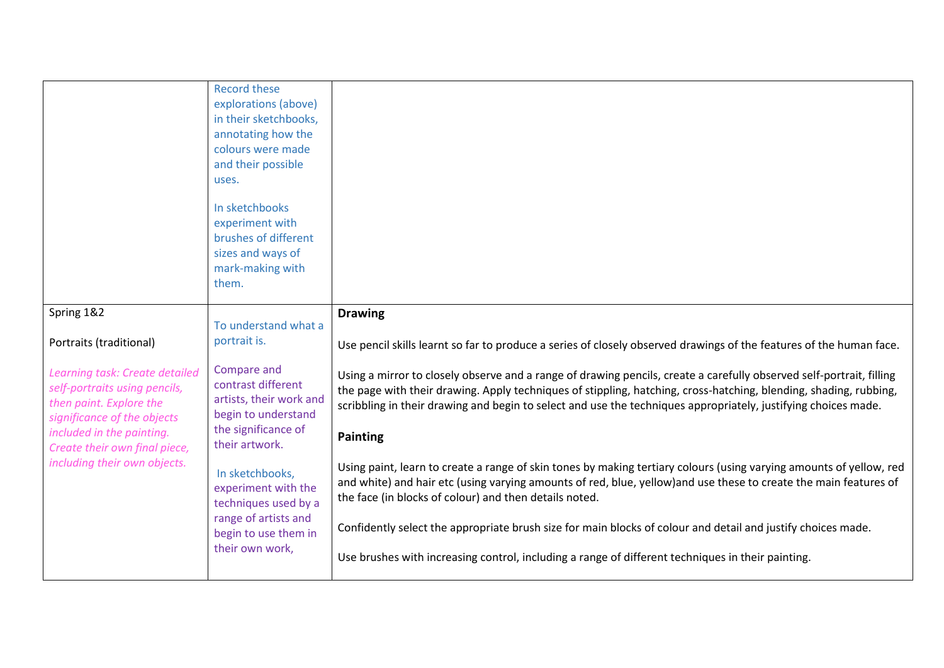|                                                                                                                                                        | <b>Record these</b><br>explorations (above)<br>in their sketchbooks,<br>annotating how the<br>colours were made<br>and their possible<br>uses.<br>In sketchbooks<br>experiment with<br>brushes of different<br>sizes and ways of<br>mark-making with<br>them. |                                                                                                                                                                                                                                                                                                                                                                                |
|--------------------------------------------------------------------------------------------------------------------------------------------------------|---------------------------------------------------------------------------------------------------------------------------------------------------------------------------------------------------------------------------------------------------------------|--------------------------------------------------------------------------------------------------------------------------------------------------------------------------------------------------------------------------------------------------------------------------------------------------------------------------------------------------------------------------------|
| Spring 1&2                                                                                                                                             | To understand what a                                                                                                                                                                                                                                          | <b>Drawing</b>                                                                                                                                                                                                                                                                                                                                                                 |
| Portraits (traditional)                                                                                                                                | portrait is.                                                                                                                                                                                                                                                  | Use pencil skills learnt so far to produce a series of closely observed drawings of the features of the human face.                                                                                                                                                                                                                                                            |
| Learning task: Create detailed<br>self-portraits using pencils,<br>then paint. Explore the<br>significance of the objects<br>included in the painting. | Compare and<br>contrast different<br>artists, their work and<br>begin to understand<br>the significance of                                                                                                                                                    | Using a mirror to closely observe and a range of drawing pencils, create a carefully observed self-portrait, filling<br>the page with their drawing. Apply techniques of stippling, hatching, cross-hatching, blending, shading, rubbing,<br>scribbling in their drawing and begin to select and use the techniques appropriately, justifying choices made.<br><b>Painting</b> |
| Create their own final piece,                                                                                                                          | their artwork.                                                                                                                                                                                                                                                |                                                                                                                                                                                                                                                                                                                                                                                |
| including their own objects.                                                                                                                           | In sketchbooks,<br>experiment with the<br>techniques used by a                                                                                                                                                                                                | Using paint, learn to create a range of skin tones by making tertiary colours (using varying amounts of yellow, red<br>and white) and hair etc (using varying amounts of red, blue, yellow) and use these to create the main features of<br>the face (in blocks of colour) and then details noted.                                                                             |
|                                                                                                                                                        | range of artists and<br>begin to use them in                                                                                                                                                                                                                  | Confidently select the appropriate brush size for main blocks of colour and detail and justify choices made.                                                                                                                                                                                                                                                                   |
|                                                                                                                                                        | their own work,                                                                                                                                                                                                                                               | Use brushes with increasing control, including a range of different techniques in their painting.                                                                                                                                                                                                                                                                              |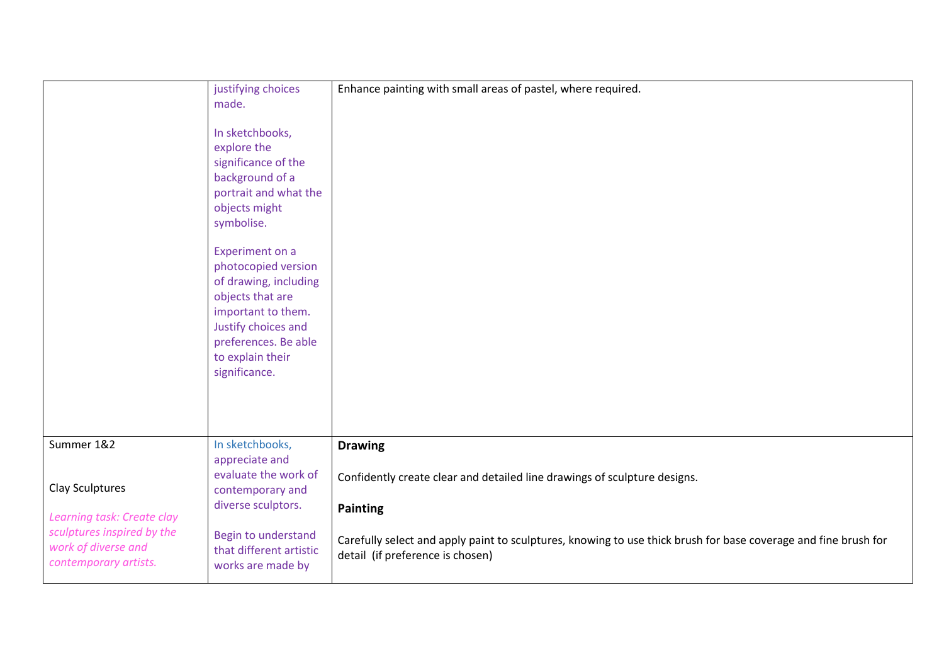|                            | justifying choices      | Enhance painting with small areas of pastel, where required.                                                    |
|----------------------------|-------------------------|-----------------------------------------------------------------------------------------------------------------|
|                            |                         |                                                                                                                 |
|                            | made.                   |                                                                                                                 |
|                            |                         |                                                                                                                 |
|                            | In sketchbooks,         |                                                                                                                 |
|                            | explore the             |                                                                                                                 |
|                            | significance of the     |                                                                                                                 |
|                            | background of a         |                                                                                                                 |
|                            | portrait and what the   |                                                                                                                 |
|                            |                         |                                                                                                                 |
|                            | objects might           |                                                                                                                 |
|                            | symbolise.              |                                                                                                                 |
|                            |                         |                                                                                                                 |
|                            | <b>Experiment on a</b>  |                                                                                                                 |
|                            | photocopied version     |                                                                                                                 |
|                            | of drawing, including   |                                                                                                                 |
|                            | objects that are        |                                                                                                                 |
|                            |                         |                                                                                                                 |
|                            | important to them.      |                                                                                                                 |
|                            | Justify choices and     |                                                                                                                 |
|                            | preferences. Be able    |                                                                                                                 |
|                            | to explain their        |                                                                                                                 |
|                            | significance.           |                                                                                                                 |
|                            |                         |                                                                                                                 |
|                            |                         |                                                                                                                 |
|                            |                         |                                                                                                                 |
|                            |                         |                                                                                                                 |
|                            |                         |                                                                                                                 |
| Summer 1&2                 | In sketchbooks,         | <b>Drawing</b>                                                                                                  |
|                            | appreciate and          |                                                                                                                 |
|                            | evaluate the work of    | Confidently create clear and detailed line drawings of sculpture designs.                                       |
| Clay Sculptures            | contemporary and        |                                                                                                                 |
|                            | diverse sculptors.      | <b>Painting</b>                                                                                                 |
| Learning task: Create clay |                         |                                                                                                                 |
| sculptures inspired by the | Begin to understand     |                                                                                                                 |
| work of diverse and        | that different artistic | Carefully select and apply paint to sculptures, knowing to use thick brush for base coverage and fine brush for |
| contemporary artists.      |                         | detail (if preference is chosen)                                                                                |
|                            | works are made by       |                                                                                                                 |
|                            |                         |                                                                                                                 |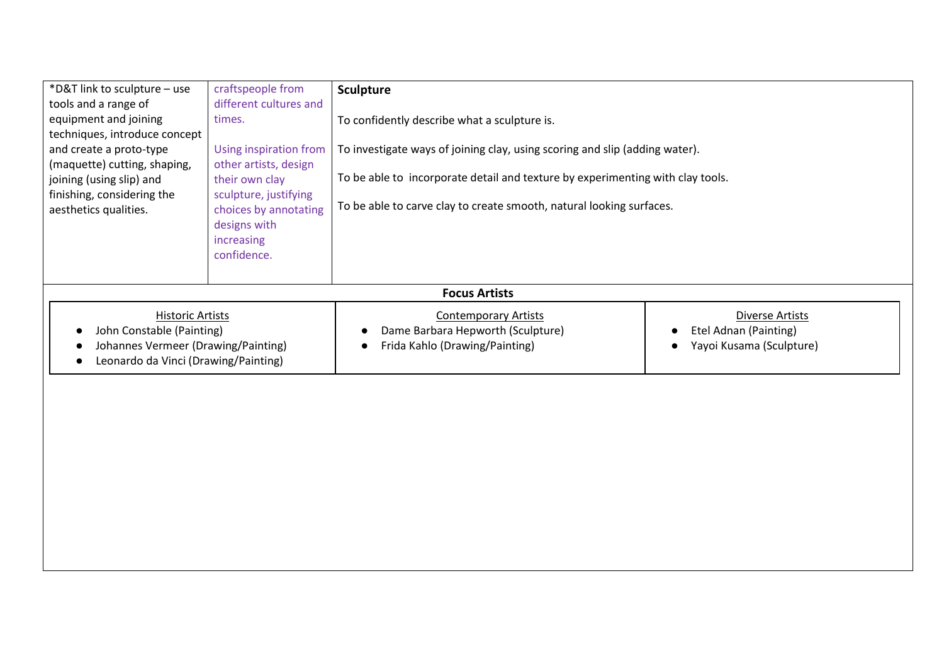| *D&T link to sculpture - use         | craftspeople from      | <b>Sculpture</b>                                                               |                                       |
|--------------------------------------|------------------------|--------------------------------------------------------------------------------|---------------------------------------|
| tools and a range of                 | different cultures and |                                                                                |                                       |
| equipment and joining                | times.                 | To confidently describe what a sculpture is.                                   |                                       |
| techniques, introduce concept        |                        |                                                                                |                                       |
| and create a proto-type              | Using inspiration from | To investigate ways of joining clay, using scoring and slip (adding water).    |                                       |
| (maquette) cutting, shaping,         | other artists, design  |                                                                                |                                       |
| joining (using slip) and             | their own clay         | To be able to incorporate detail and texture by experimenting with clay tools. |                                       |
| finishing, considering the           | sculpture, justifying  |                                                                                |                                       |
| aesthetics qualities.                | choices by annotating  | To be able to carve clay to create smooth, natural looking surfaces.           |                                       |
|                                      | designs with           |                                                                                |                                       |
|                                      | increasing             |                                                                                |                                       |
|                                      | confidence.            |                                                                                |                                       |
|                                      |                        |                                                                                |                                       |
|                                      |                        | <b>Focus Artists</b>                                                           |                                       |
| <b>Historic Artists</b>              |                        | <b>Contemporary Artists</b>                                                    | Diverse Artists                       |
| John Constable (Painting)            |                        | Dame Barbara Hepworth (Sculpture)                                              | Etel Adnan (Painting)                 |
| Johannes Vermeer (Drawing/Painting)  |                        | Frida Kahlo (Drawing/Painting)                                                 | Yayoi Kusama (Sculpture)<br>$\bullet$ |
| Leonardo da Vinci (Drawing/Painting) |                        |                                                                                |                                       |
|                                      |                        |                                                                                |                                       |
|                                      |                        |                                                                                |                                       |
|                                      |                        |                                                                                |                                       |
|                                      |                        |                                                                                |                                       |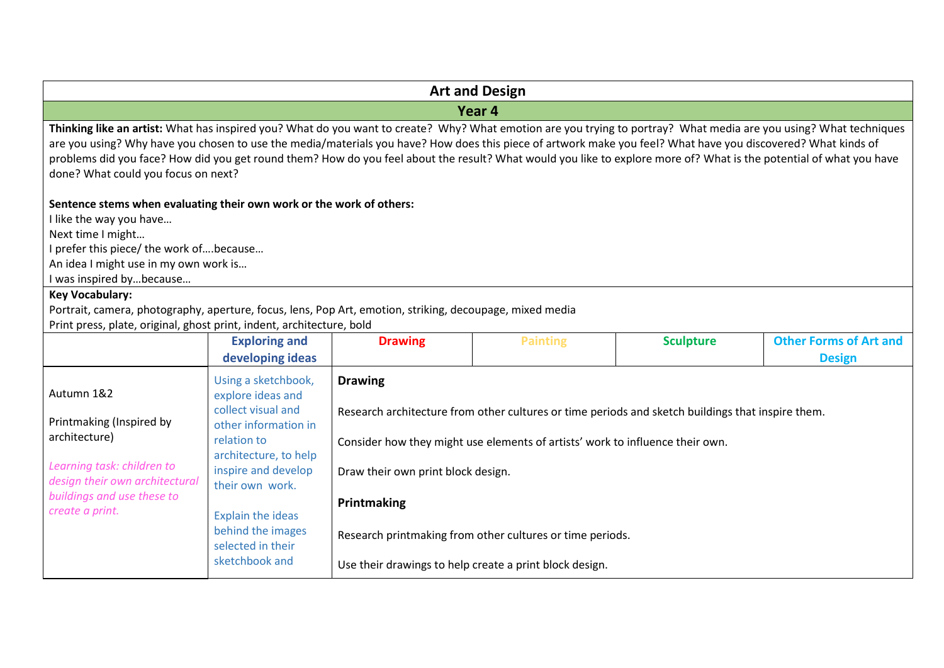|                                                                                                                                                                                                                                                                                                                                                                                                                                                                                                                                                   |                                                                                                                                                                                                                                                |                                                                     | <b>Art and Design</b>                                                                                                                      |                                                                                                   |                                                |
|---------------------------------------------------------------------------------------------------------------------------------------------------------------------------------------------------------------------------------------------------------------------------------------------------------------------------------------------------------------------------------------------------------------------------------------------------------------------------------------------------------------------------------------------------|------------------------------------------------------------------------------------------------------------------------------------------------------------------------------------------------------------------------------------------------|---------------------------------------------------------------------|--------------------------------------------------------------------------------------------------------------------------------------------|---------------------------------------------------------------------------------------------------|------------------------------------------------|
|                                                                                                                                                                                                                                                                                                                                                                                                                                                                                                                                                   |                                                                                                                                                                                                                                                |                                                                     | Year 4                                                                                                                                     |                                                                                                   |                                                |
| Thinking like an artist: What has inspired you? What do you want to create? Why? What emotion are you trying to portray? What media are you using? What techniques<br>are you using? Why have you chosen to use the media/materials you have? How does this piece of artwork make you feel? What have you discovered? What kinds of<br>problems did you face? How did you get round them? How do you feel about the result? What would you like to explore more of? What is the potential of what you have<br>done? What could you focus on next? |                                                                                                                                                                                                                                                |                                                                     |                                                                                                                                            |                                                                                                   |                                                |
| Sentence stems when evaluating their own work or the work of others:<br>I like the way you have<br>Next time I might<br>I prefer this piece/ the work ofbecause<br>An idea I might use in my own work is<br>I was inspired bybecause<br><b>Key Vocabulary:</b><br>Portrait, camera, photography, aperture, focus, lens, Pop Art, emotion, striking, decoupage, mixed media                                                                                                                                                                        |                                                                                                                                                                                                                                                |                                                                     |                                                                                                                                            |                                                                                                   |                                                |
| Print press, plate, original, ghost print, indent, architecture, bold                                                                                                                                                                                                                                                                                                                                                                                                                                                                             |                                                                                                                                                                                                                                                |                                                                     |                                                                                                                                            |                                                                                                   |                                                |
|                                                                                                                                                                                                                                                                                                                                                                                                                                                                                                                                                   | <b>Exploring and</b><br>developing ideas                                                                                                                                                                                                       | <b>Drawing</b>                                                      | <b>Painting</b>                                                                                                                            | <b>Sculpture</b>                                                                                  | <b>Other Forms of Art and</b><br><b>Design</b> |
| Autumn 1&2<br>Printmaking (Inspired by<br>architecture)<br>Learning task: children to<br>design their own architectural<br>buildings and use these to<br>create a print.                                                                                                                                                                                                                                                                                                                                                                          | Using a sketchbook,<br>explore ideas and<br>collect visual and<br>other information in<br>relation to<br>architecture, to help<br>inspire and develop<br>their own work.<br><b>Explain the ideas</b><br>behind the images<br>selected in their | <b>Drawing</b><br>Draw their own print block design.<br>Printmaking | Consider how they might use elements of artists' work to influence their own.<br>Research printmaking from other cultures or time periods. | Research architecture from other cultures or time periods and sketch buildings that inspire them. |                                                |
|                                                                                                                                                                                                                                                                                                                                                                                                                                                                                                                                                   | sketchbook and                                                                                                                                                                                                                                 |                                                                     | Use their drawings to help create a print block design.                                                                                    |                                                                                                   |                                                |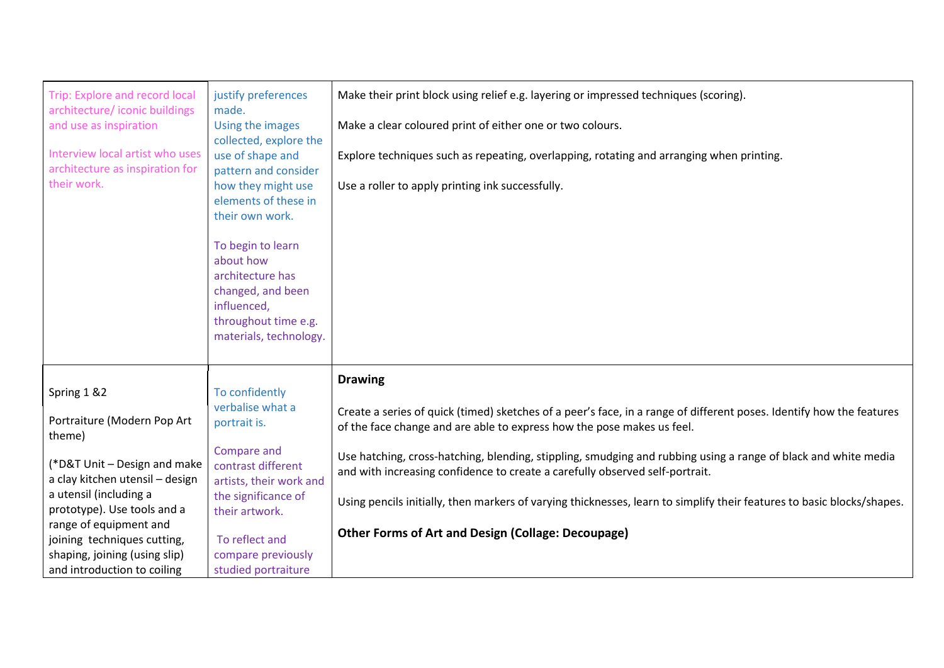| Trip: Explore and record local<br>architecture/iconic buildings<br>and use as inspiration<br>Interview local artist who uses<br>architecture as inspiration for<br>their work. | justify preferences<br>made.<br>Using the images<br>collected, explore the<br>use of shape and<br>pattern and consider<br>how they might use<br>elements of these in<br>their own work.<br>To begin to learn<br>about how<br>architecture has<br>changed, and been<br>influenced, | Make their print block using relief e.g. layering or impressed techniques (scoring).<br>Make a clear coloured print of either one or two colours.<br>Explore techniques such as repeating, overlapping, rotating and arranging when printing.<br>Use a roller to apply printing ink successfully. |
|--------------------------------------------------------------------------------------------------------------------------------------------------------------------------------|-----------------------------------------------------------------------------------------------------------------------------------------------------------------------------------------------------------------------------------------------------------------------------------|---------------------------------------------------------------------------------------------------------------------------------------------------------------------------------------------------------------------------------------------------------------------------------------------------|
|                                                                                                                                                                                | throughout time e.g.<br>materials, technology.                                                                                                                                                                                                                                    |                                                                                                                                                                                                                                                                                                   |
|                                                                                                                                                                                |                                                                                                                                                                                                                                                                                   | <b>Drawing</b>                                                                                                                                                                                                                                                                                    |
| Spring 1 & 2                                                                                                                                                                   | To confidently                                                                                                                                                                                                                                                                    |                                                                                                                                                                                                                                                                                                   |
| Portraiture (Modern Pop Art<br>theme)                                                                                                                                          | verbalise what a<br>portrait is.                                                                                                                                                                                                                                                  | Create a series of quick (timed) sketches of a peer's face, in a range of different poses. Identify how the features<br>of the face change and are able to express how the pose makes us feel.                                                                                                    |
| (*D&T Unit - Design and make<br>a clay kitchen utensil - design                                                                                                                | Compare and<br>contrast different<br>artists, their work and                                                                                                                                                                                                                      | Use hatching, cross-hatching, blending, stippling, smudging and rubbing using a range of black and white media<br>and with increasing confidence to create a carefully observed self-portrait.                                                                                                    |
| a utensil (including a<br>prototype). Use tools and a                                                                                                                          | the significance of<br>their artwork.                                                                                                                                                                                                                                             | Using pencils initially, then markers of varying thicknesses, learn to simplify their features to basic blocks/shapes.                                                                                                                                                                            |
| range of equipment and<br>joining techniques cutting,                                                                                                                          | To reflect and                                                                                                                                                                                                                                                                    | <b>Other Forms of Art and Design (Collage: Decoupage)</b>                                                                                                                                                                                                                                         |
| shaping, joining (using slip)                                                                                                                                                  | compare previously                                                                                                                                                                                                                                                                |                                                                                                                                                                                                                                                                                                   |
| and introduction to coiling                                                                                                                                                    | studied portraiture                                                                                                                                                                                                                                                               |                                                                                                                                                                                                                                                                                                   |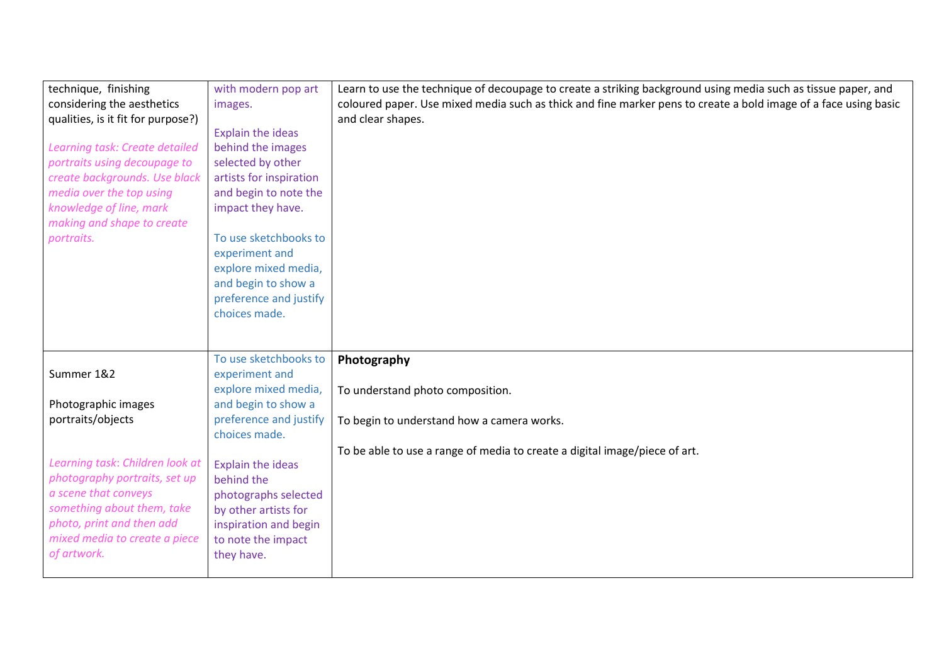| technique, finishing               | with modern pop art     | Learn to use the technique of decoupage to create a striking background using media such as tissue paper, and   |
|------------------------------------|-------------------------|-----------------------------------------------------------------------------------------------------------------|
| considering the aesthetics         | images.                 | coloured paper. Use mixed media such as thick and fine marker pens to create a bold image of a face using basic |
| qualities, is it fit for purpose?) |                         | and clear shapes.                                                                                               |
|                                    | Explain the ideas       |                                                                                                                 |
| Learning task: Create detailed     | behind the images       |                                                                                                                 |
| portraits using decoupage to       | selected by other       |                                                                                                                 |
| create backgrounds. Use black      | artists for inspiration |                                                                                                                 |
| media over the top using           | and begin to note the   |                                                                                                                 |
| knowledge of line, mark            | impact they have.       |                                                                                                                 |
| making and shape to create         |                         |                                                                                                                 |
| portraits.                         | To use sketchbooks to   |                                                                                                                 |
|                                    | experiment and          |                                                                                                                 |
|                                    | explore mixed media,    |                                                                                                                 |
|                                    | and begin to show a     |                                                                                                                 |
|                                    | preference and justify  |                                                                                                                 |
|                                    | choices made.           |                                                                                                                 |
|                                    |                         |                                                                                                                 |
|                                    |                         |                                                                                                                 |
|                                    | To use sketchbooks to   | Photography                                                                                                     |
| Summer 1&2                         | experiment and          |                                                                                                                 |
|                                    | explore mixed media,    | To understand photo composition.                                                                                |
| Photographic images                | and begin to show a     |                                                                                                                 |
| portraits/objects                  | preference and justify  | To begin to understand how a camera works.                                                                      |
|                                    | choices made.           |                                                                                                                 |
|                                    |                         | To be able to use a range of media to create a digital image/piece of art.                                      |
| Learning task: Children look at    | Explain the ideas       |                                                                                                                 |
| photography portraits, set up      | behind the              |                                                                                                                 |
| a scene that conveys               | photographs selected    |                                                                                                                 |
| something about them, take         | by other artists for    |                                                                                                                 |
| photo, print and then add          | inspiration and begin   |                                                                                                                 |
| mixed media to create a piece      | to note the impact      |                                                                                                                 |
| of artwork.                        | they have.              |                                                                                                                 |
|                                    |                         |                                                                                                                 |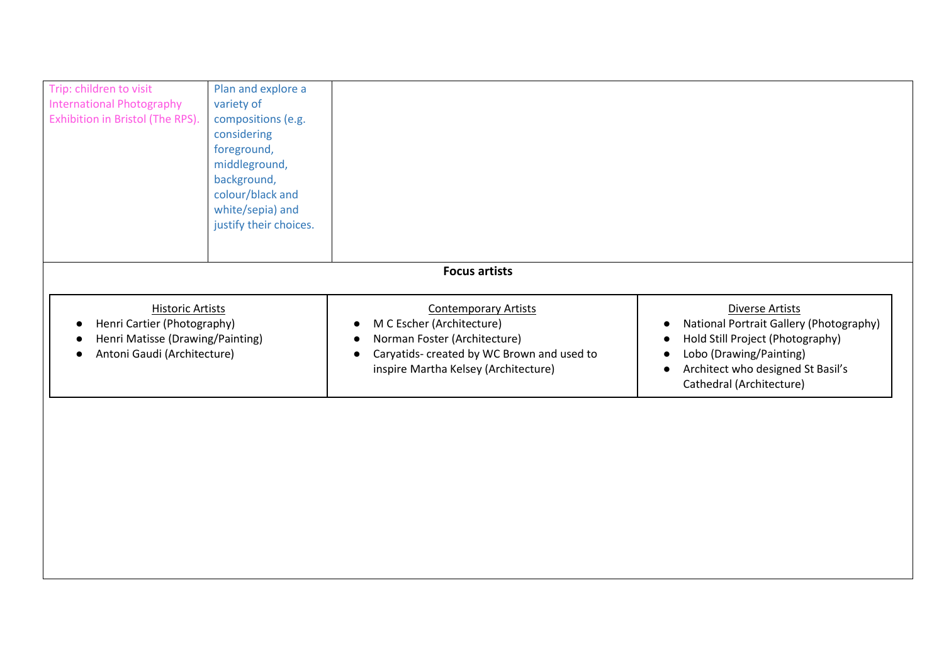| Trip: children to visit<br>Plan and explore a                                                        |  |
|------------------------------------------------------------------------------------------------------|--|
| <b>International Photography</b><br>variety of                                                       |  |
| Exhibition in Bristol (The RPS).<br>compositions (e.g.                                               |  |
| considering                                                                                          |  |
| foreground,                                                                                          |  |
| middleground,                                                                                        |  |
| background,                                                                                          |  |
| colour/black and                                                                                     |  |
| white/sepia) and                                                                                     |  |
| justify their choices.                                                                               |  |
|                                                                                                      |  |
|                                                                                                      |  |
| <b>Focus artists</b>                                                                                 |  |
| <b>Historic Artists</b><br><b>Contemporary Artists</b><br>Diverse Artists                            |  |
| Henri Cartier (Photography)<br>M C Escher (Architecture)<br>National Portrait Gallery (Photography)  |  |
| Henri Matisse (Drawing/Painting)<br>Norman Foster (Architecture)<br>Hold Still Project (Photography) |  |
| Antoni Gaudi (Architecture)<br>Lobo (Drawing/Painting)<br>Caryatids- created by WC Brown and used to |  |
| Architect who designed St Basil's<br>inspire Martha Kelsey (Architecture)                            |  |
| Cathedral (Architecture)                                                                             |  |
|                                                                                                      |  |
|                                                                                                      |  |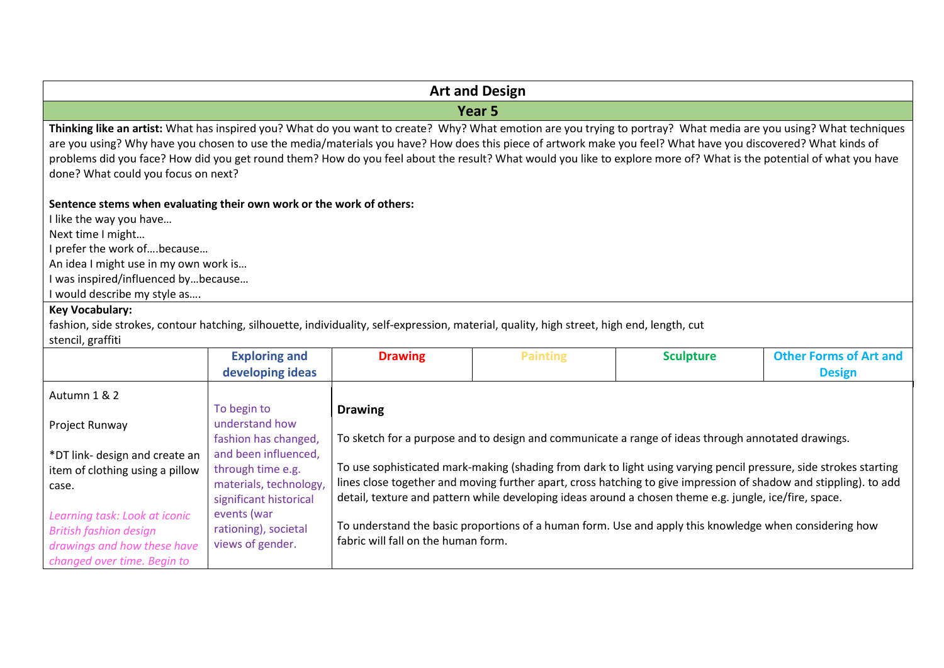| <b>Art and Design</b>                                                                                                                                                                                                                                                                                                                                                                                                                                                                                                                             |                                                                                                                                                                                                                   |                                                       |                                                                                                                                                                                                                                                                                                                        |                  |                                                                                                                                                                                                                                        |  |
|---------------------------------------------------------------------------------------------------------------------------------------------------------------------------------------------------------------------------------------------------------------------------------------------------------------------------------------------------------------------------------------------------------------------------------------------------------------------------------------------------------------------------------------------------|-------------------------------------------------------------------------------------------------------------------------------------------------------------------------------------------------------------------|-------------------------------------------------------|------------------------------------------------------------------------------------------------------------------------------------------------------------------------------------------------------------------------------------------------------------------------------------------------------------------------|------------------|----------------------------------------------------------------------------------------------------------------------------------------------------------------------------------------------------------------------------------------|--|
|                                                                                                                                                                                                                                                                                                                                                                                                                                                                                                                                                   |                                                                                                                                                                                                                   |                                                       | Year <sub>5</sub>                                                                                                                                                                                                                                                                                                      |                  |                                                                                                                                                                                                                                        |  |
| Thinking like an artist: What has inspired you? What do you want to create? Why? What emotion are you trying to portray? What media are you using? What techniques<br>are you using? Why have you chosen to use the media/materials you have? How does this piece of artwork make you feel? What have you discovered? What kinds of<br>problems did you face? How did you get round them? How do you feel about the result? What would you like to explore more of? What is the potential of what you have<br>done? What could you focus on next? |                                                                                                                                                                                                                   |                                                       |                                                                                                                                                                                                                                                                                                                        |                  |                                                                                                                                                                                                                                        |  |
| Sentence stems when evaluating their own work or the work of others:<br>like the way you have<br>Next time I might<br>prefer the work ofbecause<br>An idea I might use in my own work is<br>was inspired/influenced bybecause<br>would describe my style as<br><b>Key Vocabulary:</b><br>fashion, side strokes, contour hatching, silhouette, individuality, self-expression, material, quality, high street, high end, length, cut                                                                                                               |                                                                                                                                                                                                                   |                                                       |                                                                                                                                                                                                                                                                                                                        |                  |                                                                                                                                                                                                                                        |  |
| stencil, graffiti                                                                                                                                                                                                                                                                                                                                                                                                                                                                                                                                 | <b>Exploring and</b><br>developing ideas                                                                                                                                                                          | <b>Drawing</b>                                        | <b>Painting</b>                                                                                                                                                                                                                                                                                                        | <b>Sculpture</b> | <b>Other Forms of Art and</b><br><b>Design</b>                                                                                                                                                                                         |  |
| Autumn 1 & 2<br>Project Runway<br>*DT link- design and create an<br>item of clothing using a pillow<br>case.<br>Learning task: Look at iconic<br><b>British fashion design</b><br>drawings and how these have<br>changed over time. Begin to                                                                                                                                                                                                                                                                                                      | To begin to<br>understand how<br>fashion has changed,<br>and been influenced,<br>through time e.g.<br>materials, technology,<br>significant historical<br>events (war<br>rationing), societal<br>views of gender. | <b>Drawing</b><br>fabric will fall on the human form. | To sketch for a purpose and to design and communicate a range of ideas through annotated drawings.<br>detail, texture and pattern while developing ideas around a chosen theme e.g. jungle, ice/fire, space.<br>To understand the basic proportions of a human form. Use and apply this knowledge when considering how |                  | To use sophisticated mark-making (shading from dark to light using varying pencil pressure, side strokes starting<br>lines close together and moving further apart, cross hatching to give impression of shadow and stippling). to add |  |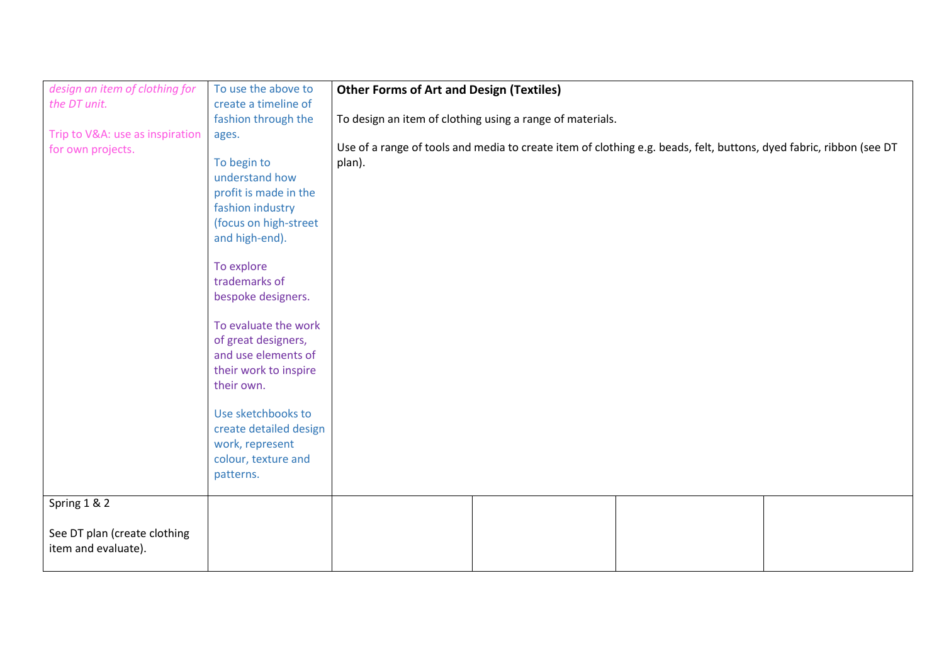| design an item of clothing for  | To use the above to    | <b>Other Forms of Art and Design (Textiles)</b> |                                                           |                                                                                                                     |  |
|---------------------------------|------------------------|-------------------------------------------------|-----------------------------------------------------------|---------------------------------------------------------------------------------------------------------------------|--|
| the DT unit.                    | create a timeline of   |                                                 |                                                           |                                                                                                                     |  |
|                                 | fashion through the    |                                                 | To design an item of clothing using a range of materials. |                                                                                                                     |  |
| Trip to V&A: use as inspiration | ages.                  |                                                 |                                                           |                                                                                                                     |  |
| for own projects.               |                        |                                                 |                                                           | Use of a range of tools and media to create item of clothing e.g. beads, felt, buttons, dyed fabric, ribbon (see DT |  |
|                                 | To begin to            | plan).                                          |                                                           |                                                                                                                     |  |
|                                 | understand how         |                                                 |                                                           |                                                                                                                     |  |
|                                 | profit is made in the  |                                                 |                                                           |                                                                                                                     |  |
|                                 | fashion industry       |                                                 |                                                           |                                                                                                                     |  |
|                                 | (focus on high-street  |                                                 |                                                           |                                                                                                                     |  |
|                                 | and high-end).         |                                                 |                                                           |                                                                                                                     |  |
|                                 |                        |                                                 |                                                           |                                                                                                                     |  |
|                                 | To explore             |                                                 |                                                           |                                                                                                                     |  |
|                                 | trademarks of          |                                                 |                                                           |                                                                                                                     |  |
|                                 | bespoke designers.     |                                                 |                                                           |                                                                                                                     |  |
|                                 |                        |                                                 |                                                           |                                                                                                                     |  |
|                                 | To evaluate the work   |                                                 |                                                           |                                                                                                                     |  |
|                                 | of great designers,    |                                                 |                                                           |                                                                                                                     |  |
|                                 | and use elements of    |                                                 |                                                           |                                                                                                                     |  |
|                                 | their work to inspire  |                                                 |                                                           |                                                                                                                     |  |
|                                 | their own.             |                                                 |                                                           |                                                                                                                     |  |
|                                 | Use sketchbooks to     |                                                 |                                                           |                                                                                                                     |  |
|                                 |                        |                                                 |                                                           |                                                                                                                     |  |
|                                 | create detailed design |                                                 |                                                           |                                                                                                                     |  |
|                                 | work, represent        |                                                 |                                                           |                                                                                                                     |  |
|                                 | colour, texture and    |                                                 |                                                           |                                                                                                                     |  |
|                                 | patterns.              |                                                 |                                                           |                                                                                                                     |  |
| Spring 1 & 2                    |                        |                                                 |                                                           |                                                                                                                     |  |
|                                 |                        |                                                 |                                                           |                                                                                                                     |  |
| See DT plan (create clothing    |                        |                                                 |                                                           |                                                                                                                     |  |
| item and evaluate).             |                        |                                                 |                                                           |                                                                                                                     |  |
|                                 |                        |                                                 |                                                           |                                                                                                                     |  |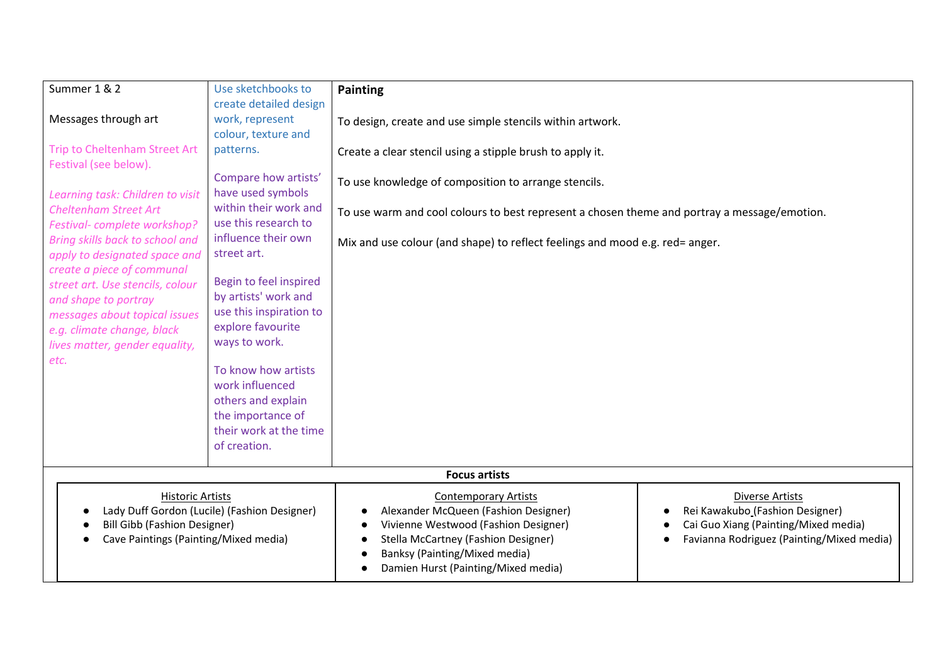| Summer 1 & 2                                             | Use sketchbooks to                            | <b>Painting</b>                                                                              |                                                        |
|----------------------------------------------------------|-----------------------------------------------|----------------------------------------------------------------------------------------------|--------------------------------------------------------|
|                                                          | create detailed design                        |                                                                                              |                                                        |
| Messages through art                                     | work, represent                               | To design, create and use simple stencils within artwork.                                    |                                                        |
|                                                          | colour, texture and                           |                                                                                              |                                                        |
| Trip to Cheltenham Street Art                            | patterns.                                     | Create a clear stencil using a stipple brush to apply it.                                    |                                                        |
| Festival (see below).                                    |                                               |                                                                                              |                                                        |
|                                                          | Compare how artists'                          | To use knowledge of composition to arrange stencils.                                         |                                                        |
| Learning task: Children to visit                         | have used symbols                             |                                                                                              |                                                        |
| <b>Cheltenham Street Art</b>                             | within their work and<br>use this research to | To use warm and cool colours to best represent a chosen theme and portray a message/emotion. |                                                        |
| Festival-complete workshop?                              |                                               |                                                                                              |                                                        |
| Bring skills back to school and                          | influence their own                           | Mix and use colour (and shape) to reflect feelings and mood e.g. red= anger.                 |                                                        |
| apply to designated space and                            | street art.                                   |                                                                                              |                                                        |
| create a piece of communal                               | Begin to feel inspired                        |                                                                                              |                                                        |
| street art. Use stencils, colour<br>and shape to portray | by artists' work and                          |                                                                                              |                                                        |
| messages about topical issues                            | use this inspiration to                       |                                                                                              |                                                        |
| e.g. climate change, black                               | explore favourite                             |                                                                                              |                                                        |
| lives matter, gender equality,                           | ways to work.                                 |                                                                                              |                                                        |
| etc.                                                     |                                               |                                                                                              |                                                        |
|                                                          | To know how artists                           |                                                                                              |                                                        |
|                                                          | work influenced                               |                                                                                              |                                                        |
|                                                          | others and explain                            |                                                                                              |                                                        |
|                                                          | the importance of                             |                                                                                              |                                                        |
|                                                          | their work at the time                        |                                                                                              |                                                        |
|                                                          | of creation.                                  |                                                                                              |                                                        |
|                                                          |                                               |                                                                                              |                                                        |
|                                                          |                                               | <b>Focus artists</b>                                                                         |                                                        |
| <b>Historic Artists</b>                                  |                                               | <b>Contemporary Artists</b>                                                                  | <b>Diverse Artists</b>                                 |
|                                                          | Lady Duff Gordon (Lucile) (Fashion Designer)  | Alexander McQueen (Fashion Designer)                                                         | Rei Kawakubo (Fashion Designer)                        |
| <b>Bill Gibb (Fashion Designer)</b>                      |                                               | Vivienne Westwood (Fashion Designer)                                                         | Cai Guo Xiang (Painting/Mixed media)                   |
| Cave Paintings (Painting/Mixed media)                    |                                               | Stella McCartney (Fashion Designer)                                                          | Favianna Rodriguez (Painting/Mixed media)<br>$\bullet$ |
|                                                          |                                               | Banksy (Painting/Mixed media)                                                                |                                                        |
|                                                          |                                               | Damien Hurst (Painting/Mixed media)                                                          |                                                        |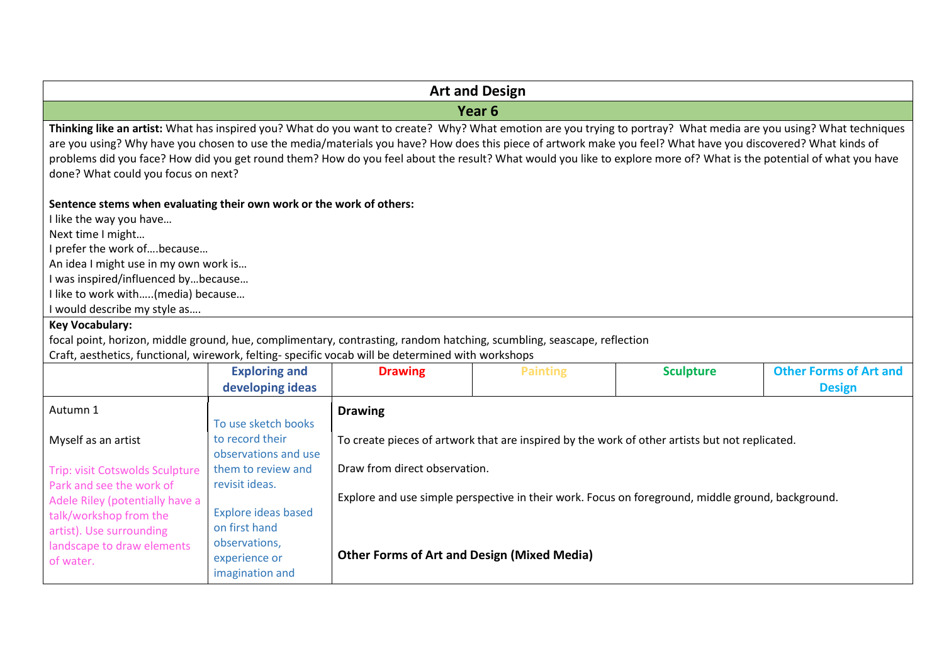|                                                                                                                                                                                                                                                                                                                                                                                                                                                                                                                                                                     |                                                                                                                                                                                                            | <b>Art and Design</b>                                                                                 |                   |                                                                                                                                                                                                     |                                                |  |
|---------------------------------------------------------------------------------------------------------------------------------------------------------------------------------------------------------------------------------------------------------------------------------------------------------------------------------------------------------------------------------------------------------------------------------------------------------------------------------------------------------------------------------------------------------------------|------------------------------------------------------------------------------------------------------------------------------------------------------------------------------------------------------------|-------------------------------------------------------------------------------------------------------|-------------------|-----------------------------------------------------------------------------------------------------------------------------------------------------------------------------------------------------|------------------------------------------------|--|
|                                                                                                                                                                                                                                                                                                                                                                                                                                                                                                                                                                     |                                                                                                                                                                                                            |                                                                                                       | Year <sub>6</sub> |                                                                                                                                                                                                     |                                                |  |
| Thinking like an artist: What has inspired you? What do you want to create? Why? What emotion are you trying to portray? What media are you using? What techniques<br>are you using? Why have you chosen to use the media/materials you have? How does this piece of artwork make you feel? What have you discovered? What kinds of<br>problems did you face? How did you get round them? How do you feel about the result? What would you like to explore more of? What is the potential of what you have<br>done? What could you focus on next?                   |                                                                                                                                                                                                            |                                                                                                       |                   |                                                                                                                                                                                                     |                                                |  |
| Sentence stems when evaluating their own work or the work of others:<br>I like the way you have<br>Next time I might<br>I prefer the work ofbecause<br>An idea I might use in my own work is<br>I was inspired/influenced bybecause<br>I like to work with(media) because<br>I would describe my style as<br><b>Key Vocabulary:</b><br>focal point, horizon, middle ground, hue, complimentary, contrasting, random hatching, scumbling, seascape, reflection<br>Craft, aesthetics, functional, wirework, felting- specific vocab will be determined with workshops |                                                                                                                                                                                                            |                                                                                                       |                   |                                                                                                                                                                                                     |                                                |  |
|                                                                                                                                                                                                                                                                                                                                                                                                                                                                                                                                                                     | <b>Exploring and</b><br>developing ideas                                                                                                                                                                   | <b>Drawing</b>                                                                                        | <b>Painting</b>   | <b>Sculpture</b>                                                                                                                                                                                    | <b>Other Forms of Art and</b><br><b>Design</b> |  |
| Autumn 1<br>Myself as an artist<br>Trip: visit Cotswolds Sculpture<br>Park and see the work of<br>Adele Riley (potentially have a<br>talk/workshop from the<br>artist). Use surrounding<br>landscape to draw elements<br>of water.                                                                                                                                                                                                                                                                                                                                  | To use sketch books<br>to record their<br>observations and use<br>them to review and<br>revisit ideas.<br><b>Explore ideas based</b><br>on first hand<br>observations,<br>experience or<br>imagination and | <b>Drawing</b><br>Draw from direct observation.<br><b>Other Forms of Art and Design (Mixed Media)</b> |                   | To create pieces of artwork that are inspired by the work of other artists but not replicated.<br>Explore and use simple perspective in their work. Focus on foreground, middle ground, background. |                                                |  |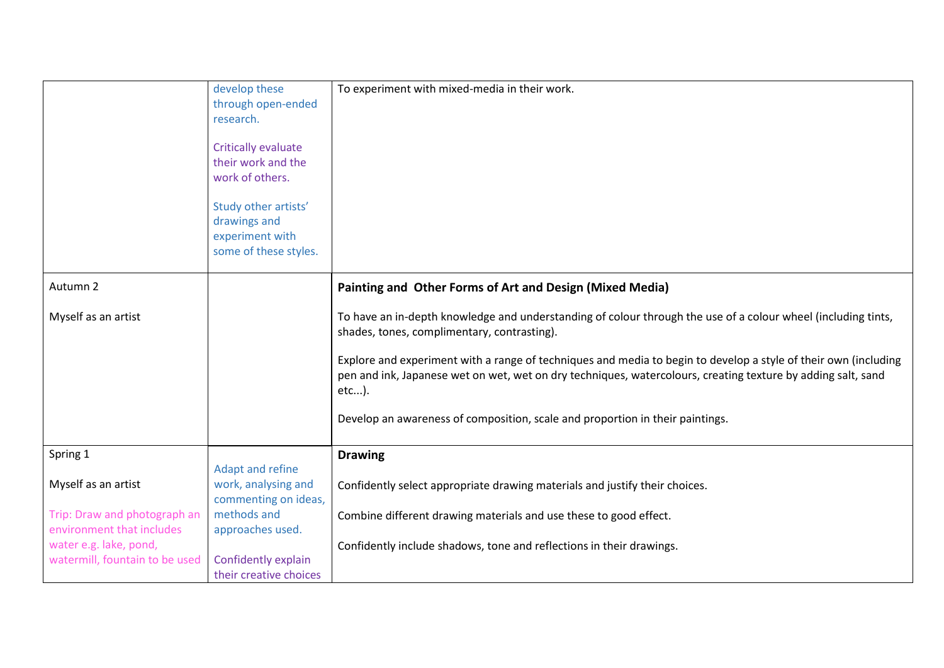|                                | develop these<br>through open-ended<br>research.<br><b>Critically evaluate</b> | To experiment with mixed-media in their work.                                                                                                                                                                                               |
|--------------------------------|--------------------------------------------------------------------------------|---------------------------------------------------------------------------------------------------------------------------------------------------------------------------------------------------------------------------------------------|
|                                | their work and the<br>work of others.                                          |                                                                                                                                                                                                                                             |
|                                |                                                                                |                                                                                                                                                                                                                                             |
|                                | Study other artists'                                                           |                                                                                                                                                                                                                                             |
|                                | drawings and<br>experiment with                                                |                                                                                                                                                                                                                                             |
|                                | some of these styles.                                                          |                                                                                                                                                                                                                                             |
|                                |                                                                                |                                                                                                                                                                                                                                             |
| Autumn 2                       |                                                                                | Painting and Other Forms of Art and Design (Mixed Media)                                                                                                                                                                                    |
| Myself as an artist            |                                                                                | To have an in-depth knowledge and understanding of colour through the use of a colour wheel (including tints,<br>shades, tones, complimentary, contrasting).                                                                                |
|                                |                                                                                | Explore and experiment with a range of techniques and media to begin to develop a style of their own (including<br>pen and ink, Japanese wet on wet, wet on dry techniques, watercolours, creating texture by adding salt, sand<br>$etc$ ). |
|                                |                                                                                | Develop an awareness of composition, scale and proportion in their paintings.                                                                                                                                                               |
| Spring 1                       |                                                                                | <b>Drawing</b>                                                                                                                                                                                                                              |
|                                | Adapt and refine                                                               |                                                                                                                                                                                                                                             |
| Myself as an artist            | work, analysing and<br>commenting on ideas,                                    | Confidently select appropriate drawing materials and justify their choices.                                                                                                                                                                 |
| Trip: Draw and photograph an   | methods and                                                                    | Combine different drawing materials and use these to good effect.                                                                                                                                                                           |
| environment that includes      | approaches used.                                                               |                                                                                                                                                                                                                                             |
| water e.g. lake, pond,         |                                                                                | Confidently include shadows, tone and reflections in their drawings.                                                                                                                                                                        |
| watermill, fountain to be used | Confidently explain                                                            |                                                                                                                                                                                                                                             |
|                                | their creative choices                                                         |                                                                                                                                                                                                                                             |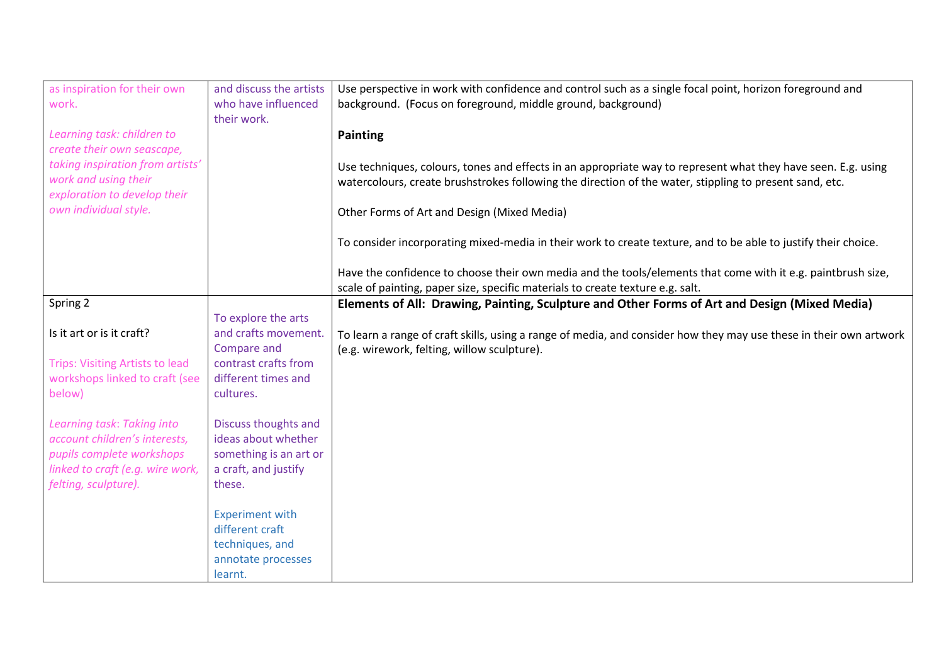| as inspiration for their own           | and discuss the artists | Use perspective in work with confidence and control such as a single focal point, horizon foreground and           |
|----------------------------------------|-------------------------|--------------------------------------------------------------------------------------------------------------------|
| work.                                  | who have influenced     | background. (Focus on foreground, middle ground, background)                                                       |
|                                        | their work.             |                                                                                                                    |
| Learning task: children to             |                         | <b>Painting</b>                                                                                                    |
| create their own seascape,             |                         |                                                                                                                    |
| taking inspiration from artists'       |                         | Use techniques, colours, tones and effects in an appropriate way to represent what they have seen. E.g. using      |
| work and using their                   |                         | watercolours, create brushstrokes following the direction of the water, stippling to present sand, etc.            |
| exploration to develop their           |                         |                                                                                                                    |
| own individual style.                  |                         | Other Forms of Art and Design (Mixed Media)                                                                        |
|                                        |                         |                                                                                                                    |
|                                        |                         | To consider incorporating mixed-media in their work to create texture, and to be able to justify their choice.     |
|                                        |                         |                                                                                                                    |
|                                        |                         | Have the confidence to choose their own media and the tools/elements that come with it e.g. paintbrush size,       |
|                                        |                         | scale of painting, paper size, specific materials to create texture e.g. salt.                                     |
| Spring 2                               |                         | Elements of All: Drawing, Painting, Sculpture and Other Forms of Art and Design (Mixed Media)                      |
|                                        | To explore the arts     |                                                                                                                    |
| Is it art or is it craft?              | and crafts movement.    | To learn a range of craft skills, using a range of media, and consider how they may use these in their own artwork |
|                                        | Compare and             | (e.g. wirework, felting, willow sculpture).                                                                        |
| <b>Trips: Visiting Artists to lead</b> | contrast crafts from    |                                                                                                                    |
| workshops linked to craft (see         | different times and     |                                                                                                                    |
| below)                                 | cultures.               |                                                                                                                    |
|                                        |                         |                                                                                                                    |
| Learning task: Taking into             | Discuss thoughts and    |                                                                                                                    |
| account children's interests,          | ideas about whether     |                                                                                                                    |
| pupils complete workshops              | something is an art or  |                                                                                                                    |
| linked to craft (e.g. wire work,       | a craft, and justify    |                                                                                                                    |
| felting, sculpture).                   | these.                  |                                                                                                                    |
|                                        |                         |                                                                                                                    |
|                                        | <b>Experiment with</b>  |                                                                                                                    |
|                                        | different craft         |                                                                                                                    |
|                                        | techniques, and         |                                                                                                                    |
|                                        | annotate processes      |                                                                                                                    |
|                                        | learnt.                 |                                                                                                                    |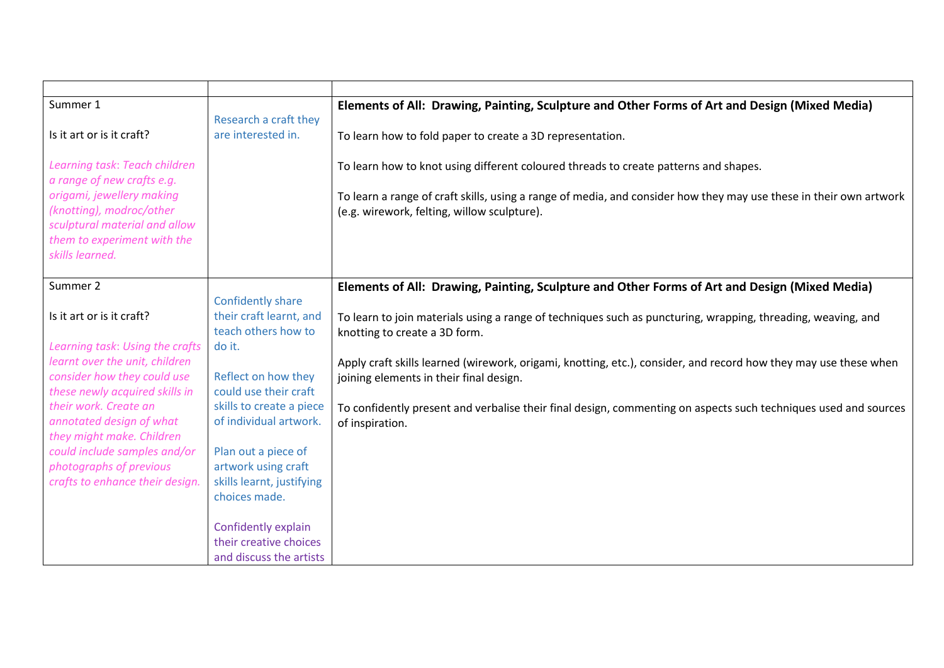| Summer 1                                                      |                                              | Elements of All: Drawing, Painting, Sculpture and Other Forms of Art and Design (Mixed Media)                      |
|---------------------------------------------------------------|----------------------------------------------|--------------------------------------------------------------------------------------------------------------------|
|                                                               | Research a craft they                        |                                                                                                                    |
| Is it art or is it craft?                                     | are interested in.                           | To learn how to fold paper to create a 3D representation.                                                          |
| Learning task: Teach children                                 |                                              | To learn how to knot using different coloured threads to create patterns and shapes.                               |
| a range of new crafts e.g.                                    |                                              |                                                                                                                    |
| origami, jewellery making                                     |                                              | To learn a range of craft skills, using a range of media, and consider how they may use these in their own artwork |
| (knotting), modroc/other                                      |                                              | (e.g. wirework, felting, willow sculpture).                                                                        |
| sculptural material and allow                                 |                                              |                                                                                                                    |
| them to experiment with the                                   |                                              |                                                                                                                    |
| skills learned.                                               |                                              |                                                                                                                    |
|                                                               |                                              |                                                                                                                    |
| Summer 2                                                      |                                              | Elements of All: Drawing, Painting, Sculpture and Other Forms of Art and Design (Mixed Media)                      |
|                                                               | Confidently share                            |                                                                                                                    |
| Is it art or is it craft?                                     | their craft learnt, and                      | To learn to join materials using a range of techniques such as puncturing, wrapping, threading, weaving, and       |
|                                                               | teach others how to                          | knotting to create a 3D form.                                                                                      |
| Learning task: Using the crafts                               | do it.                                       |                                                                                                                    |
| learnt over the unit, children                                |                                              | Apply craft skills learned (wirework, origami, knotting, etc.), consider, and record how they may use these when   |
| consider how they could use<br>these newly acquired skills in | Reflect on how they<br>could use their craft | joining elements in their final design.                                                                            |
| their work. Create an                                         | skills to create a piece                     | To confidently present and verbalise their final design, commenting on aspects such techniques used and sources    |
| annotated design of what                                      | of individual artwork.                       | of inspiration.                                                                                                    |
| they might make. Children                                     |                                              |                                                                                                                    |
| could include samples and/or                                  | Plan out a piece of                          |                                                                                                                    |
| photographs of previous                                       | artwork using craft                          |                                                                                                                    |
| crafts to enhance their design.                               | skills learnt, justifying                    |                                                                                                                    |
|                                                               | choices made.                                |                                                                                                                    |
|                                                               |                                              |                                                                                                                    |
|                                                               | Confidently explain                          |                                                                                                                    |
|                                                               | their creative choices                       |                                                                                                                    |
|                                                               | and discuss the artists                      |                                                                                                                    |